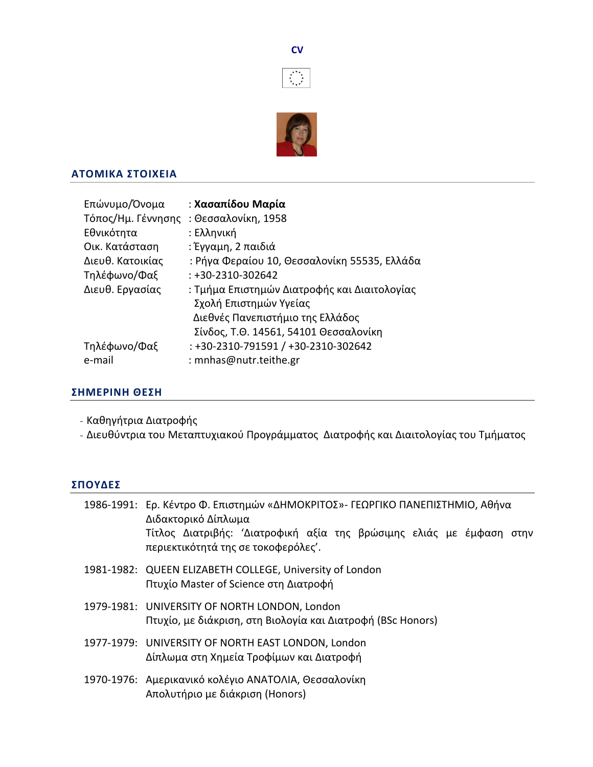



## **ΑTΟΜΙΚΑ ΣTΟΙΧΕΙΑ**

| Επώνυμο/Όνομα    | : Χασαπίδου Μαρία                            |
|------------------|----------------------------------------------|
|                  | Τόπος/Ημ. Γέννησης: Θεσσαλονίκη, 1958        |
| Εθνικότητα       | : Ελληνική                                   |
| Οικ. Κατάσταση   | : Έγγαμη, 2 παιδιά                           |
| Διευθ. Κατοικίας | : Ρήγα Φεραίου 10, Θεσσαλονίκη 55535, Ελλάδα |
| Τηλέφωνο/Φαξ     | $: +30-2310-302642$                          |
| Διευθ. Εργασίας  | : Τμήμα Επιστημών Διατροφής και Διαιτολογίας |
|                  | Σχολή Επιστημών Υγείας                       |
|                  | Διεθνές Πανεπιστήμιο της Ελλάδος             |
|                  | Σίνδος, Τ.Θ. 14561, 54101 Θεσσαλονίκη        |
| Τηλέφωνο/Φαξ     | : +30-2310-791591 / +30-2310-302642          |
| e-mail           | : mnhas@nutr.teithe.gr                       |

# **ΣΗΜΕΡΙΝΗ ΘΕΣΗ**

- Καθηγήτρια Διατροφής
- Διευθύντρια του Μεταπτυχιακού Προγράμματος Διατροφής και Διαιτολογίας του Τμήματος

# **ΣΠΟΥΔΕΣ**

| 1986-1991: Ερ. Κέντρο Φ. Επιστημών «ΔΗΜΟΚΡΙΤΟΣ»- ΓΕΩΡΓΙΚΟ ΠΑΝΕΠΙΣΤΗΜΙΟ, Αθήνα<br>Διδακτορικό Δίπλωμα         |  |  |  |  |
|--------------------------------------------------------------------------------------------------------------|--|--|--|--|
| Τίτλος Διατριβής: 'Διατροφική αξία της βρώσιμης ελιάς με έμφαση στην<br>περιεκτικότητά της σε τοκοφερόλες'.  |  |  |  |  |
| 1981-1982: QUEEN ELIZABETH COLLEGE, University of London<br>Πτυχίο Master of Science στη Διατροφή            |  |  |  |  |
| 1979-1981: UNIVERSITY OF NORTH LONDON, London<br>Πτυχίο, με διάκριση, στη Βιολογία και Διατροφή (BSc Honors) |  |  |  |  |
| 1977-1979: UNIVERSITY OF NORTH EAST LONDON, London<br>Δίπλωμα στη Χημεία Τροφίμων και Διατροφή               |  |  |  |  |
| 1970-1976: Αμερικανικό κολέγιο ΑΝΑΤΟΛΙΑ, Θεσσαλονίκη<br>Απολυτήριο με διάκριση (Honors)                      |  |  |  |  |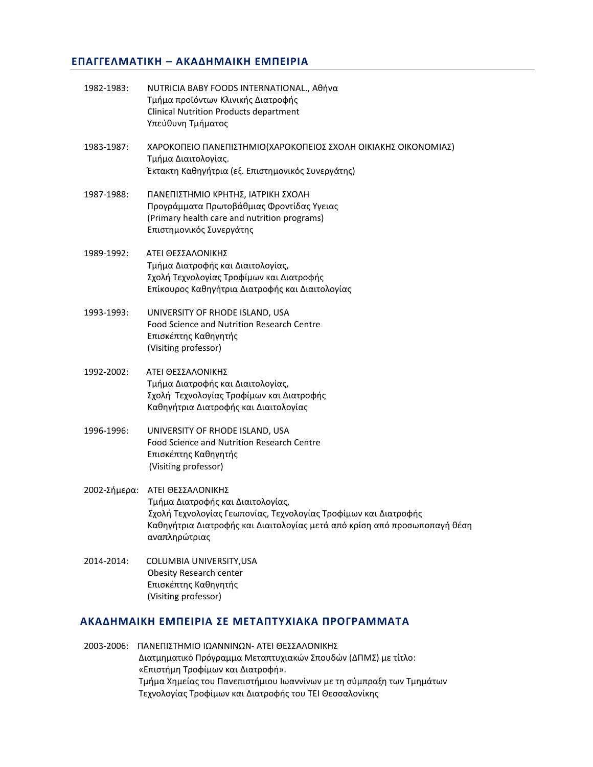## **ΕΠΑΓΓΕΛΜΑΤΙΚΗ – ΑΚΑΔΗΜΑΙΚΗ ΕΜΠΕΙΡΙΑ**

| 1982-1983:   | NUTRICIA BABY FOODS INTERNATIONAL., Αθήνα<br>Τμήμα προϊόντων Κλινικής Διατροφής<br><b>Clinical Nutrition Products department</b><br>Υπεύθυνη Τμήματος                                                                   |
|--------------|-------------------------------------------------------------------------------------------------------------------------------------------------------------------------------------------------------------------------|
| 1983-1987:   | ΧΑΡΟΚΟΠΕΙΟ ΠΑΝΕΠΙΣΤΗΜΙΟ(ΧΑΡΟΚΟΠΕΙΟΣ ΣΧΟΛΗ ΟΙΚΙΑΚΗΣ ΟΙΚΟΝΟΜΙΑΣ)<br>Τμήμα Διαιτολογίας.<br>Έκτακτη Καθηγήτρια (εξ. Επιστημονικός Συνεργάτης)                                                                              |
| 1987-1988:   | ΠΑΝΕΠΙΣΤΗΜΙΟ ΚΡΗΤΗΣ, ΙΑΤΡΙΚΗ ΣΧΟΛΗ<br>Προγράμματα Πρωτοβάθμιας Φροντίδας Υγειας<br>(Primary health care and nutrition programs)<br>Επιστημονικός Συνεργάτης                                                             |
| 1989-1992:   | ΑΤΕΙ ΘΕΣΣΑΛΟΝΙΚΗΣ<br>Τμήμα Διατροφής και Διαιτολογίας,<br>Σχολή Τεχνολογίας Τροφίμων και Διατροφής<br>Επίκουρος Καθηγήτρια Διατροφής και Διαιτολογίας                                                                   |
| 1993-1993:   | UNIVERSITY OF RHODE ISLAND, USA<br>Food Science and Nutrition Research Centre<br>Επισκέπτης Καθηγητής<br>(Visiting professor)                                                                                           |
| 1992-2002:   | ΑΤΕΙ ΘΕΣΣΑΛΟΝΙΚΗΣ<br>Τμήμα Διατροφής και Διαιτολογίας,<br>Σχολή Τεχνολογίας Τροφίμων και Διατροφής<br>Καθηγήτρια Διατροφής και Διαιτολογίας                                                                             |
| 1996-1996:   | UNIVERSITY OF RHODE ISLAND, USA<br>Food Science and Nutrition Research Centre<br>Επισκέπτης Καθηγητής<br>(Visiting professor)                                                                                           |
| 2002-Σήμερα: | ΑΤΕΙ ΘΕΣΣΑΛΟΝΙΚΗΣ<br>Τμήμα Διατροφής και Διαιτολογίας,<br>Σχολή Τεχνολογίας Γεωπονίας, Τεχνολογίας Τροφίμων και Διατροφής<br>Καθηγήτρια Διατροφής και Διαιτολογίας μετά από κρίση από προσωποπαγή θέση<br>αναπληρώτριας |
| 2014-2014:   | COLUMBIA UNIVERSITY, USA<br><b>Obesity Research center</b><br>Επισκέπτης Καθηγητής<br>(Visiting professor)                                                                                                              |

# **ΑΚΑΔΗΜΑΙΚΗ ΕΜΠΕΙΡΙΑ ΣΕ ΜΕΤΑΠΤΥΧΙΑΚΑ ΠΡΟΓΡΑΜΜΑΤΑ**

2003-2006: ΠΑΝΕΠΙΣΤΗΜΙΟ ΙΩΑΝΝΙΝΩΝ- ΑΤΕΙ ΘΕΣΣΑΛΟΝΙΚΗΣ Διατμηματικό Πρόγραμμα Μεταπτυχιακών Σπουδών (ΔΠΜΣ) με τίτλο: «Επιστήμη Τροφίμων και Διατροφή». Τμήμα Χημείας του Πανεπιστήμιου Ιωαννίνων με τη σύμπραξη των Τμημάτων Τεχνολογίας Τροφίμων και Διατροφής του ΤΕΙ Θεσσαλονίκης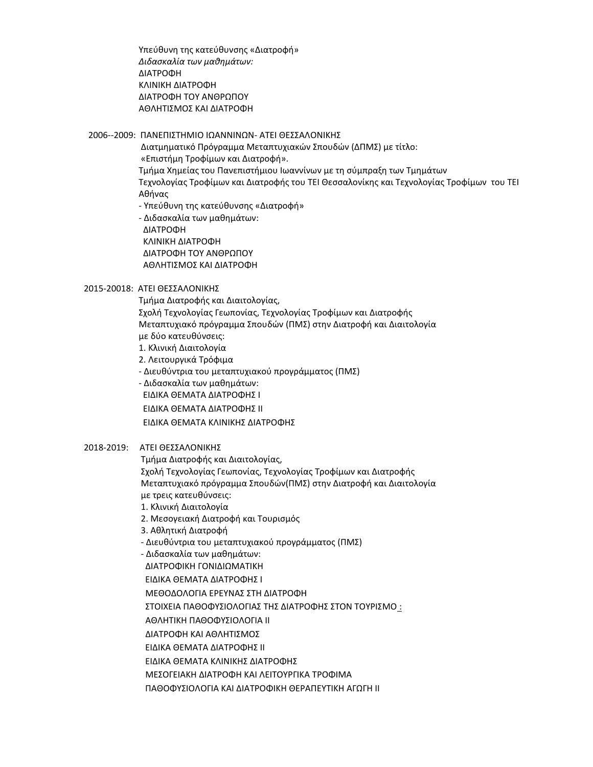Υπεύθυνη της κατεύθυνσης «Διατροφή» *Διδασκαλία των μαθημάτων:* ΔΙΑΤΡΟΦΗ ΚΛΙΝΙΚΗ ΔΙΑΤΡΟΦΗ ΔΙΑΤΡΟΦΗ ΤΟΥ ΑΝΘΡΩΠΟΥ ΑΘΛΗΤΙΣΜΟΣ ΚΑΙ ΔΙΑΤΡΟΦΗ

2006--2009: ΠΑΝΕΠΙΣΤΗΜΙΟ ΙΩΑΝΝΙΝΩΝ- ΑΤΕΙ ΘΕΣΣΑΛΟΝΙΚΗΣ

 Διατμηματικό Πρόγραμμα Μεταπτυχιακών Σπουδών (ΔΠΜΣ) με τίτλο: «Επιστήμη Τροφίμων και Διατροφή». Τμήμα Χημείας του Πανεπιστήμιου Ιωαννίνων με τη σύμπραξη των Τμημάτων Τεχνολογίας Τροφίμων και Διατροφής του ΤΕΙ Θεσσαλονίκης και Τεχνολογίας Τροφίμων του ΤΕΙ Αθήνας - Υπεύθυνη της κατεύθυνσης «Διατροφή»

 - Διδασκαλία των μαθημάτων: ΔΙΑΤΡΟΦΗ ΚΛΙΝΙΚΗ ΔΙΑΤΡΟΦΗ ΔΙΑΤΡΟΦΗ ΤΟΥ ΑΝΘΡΩΠΟΥ ΑΘΛΗΤΙΣΜΟΣ ΚΑΙ ΔΙΑΤΡΟΦΗ

#### 2015-20018: ΑΤΕΙ ΘΕΣΣΑΛΟΝΙΚΗΣ

 Τμήμα Διατροφής και Διαιτολογίας, Σχολή Τεχνολογίας Γεωπονίας, Τεχνολογίας Τροφίμων και Διατροφής Μεταπτυχιακό πρόγραμμα Σπουδών (ΠΜΣ) στην Διατροφή και Διαιτολογία με δύο κατευθύνσεις: 1. Κλινική Διαιτολογία 2. Λειτουργικά Τρόφιμα

- Διευθύντρια του μεταπτυχιακού προγράμματος (ΠΜΣ)

- Διδασκαλία των μαθημάτων:

ΕΙΔΙΚΑ ΘΕΜΑΤΑ ΔΙΑΤΡΟΦΗΣ Ι

ΕΙΔΙΚΑ ΘΕΜΑΤΑ ΔΙΑΤΡΟΦΗΣ ΙΙ

ΕΙΔΙΚΑ ΘΕΜΑΤΑ ΚΛΙΝΙΚΗΣ ΔΙΑΤΡΟΦΗΣ

#### 2018-2019: ΑΤΕΙ ΘΕΣΣΑΛΟΝΙΚΗΣ

Τμήμα Διατροφής και Διαιτολογίας,

 Σχολή Τεχνολογίας Γεωπονίας, Τεχνολογίας Τροφίμων και Διατροφής Μεταπτυχιακό πρόγραμμα Σπουδών(ΠΜΣ) στην Διατροφή και Διαιτολογία με τρεις κατευθύνσεις:

1. Κλινική Διαιτολογία

2. Μεσογειακή Διατροφή και Τουρισμός

3. Αθλητική Διατροφή

- Διευθύντρια του μεταπτυχιακού προγράμματος (ΠΜΣ)

- Διδασκαλία των μαθημάτων:

ΔΙΑΤΡΟΦΙΚΗ ΓΟΝΙΔΙΩΜΑΤΙΚΗ

ΕΙΔΙΚΑ ΘΕΜΑΤΑ ΔΙΑΤΡΟΦΗΣ Ι

ΜΕΘΟΔΟΛΟΓΙΑ ΕΡΕΥΝΑΣ ΣΤΗ ΔΙΑΤΡΟΦΗ

ΣΤΟΙΧΕΙΑ ΠΑΘΟΦΥΣΙΟΛΟΓΙΑΣ ΤΗΣ ΔΙΑΤΡΟΦΗΣ ΣΤΟΝ ΤΟΥΡΙΣΜΟ :

ΑΘΛΗΤΙΚΗ ΠΑΘΟΦΥΣΙΟΛΟΓΙΑ ΙΙ

ΔΙΑΤΡΟΦΗ ΚΑΙ ΑΘΛΗΤΙΣΜΟΣ

ΕΙΔΙΚΑ ΘΕΜΑΤΑ ΔΙΑΤΡΟΦΗΣ ΙΙ

ΕΙΔΙΚΑ ΘΕΜΑΤΑ ΚΛΙΝΙΚΗΣ ΔΙΑΤΡΟΦΗΣ

ΜΕΣΟΓΕΙΑΚΗ ΔΙΑΤΡΟΦΗ ΚΑΙ ΛΕΙΤΟΥΡΓΙΚΑ ΤΡΟΦΙΜΑ

ΠΑΘΟΦΥΣΙΟΛΟΓΙΑ ΚΑΙ ΔΙΑΤΡΟΦΙΚΗ ΘΕΡΑΠΕΥΤΙΚΗ ΑΓΩΓΗ ΙΙ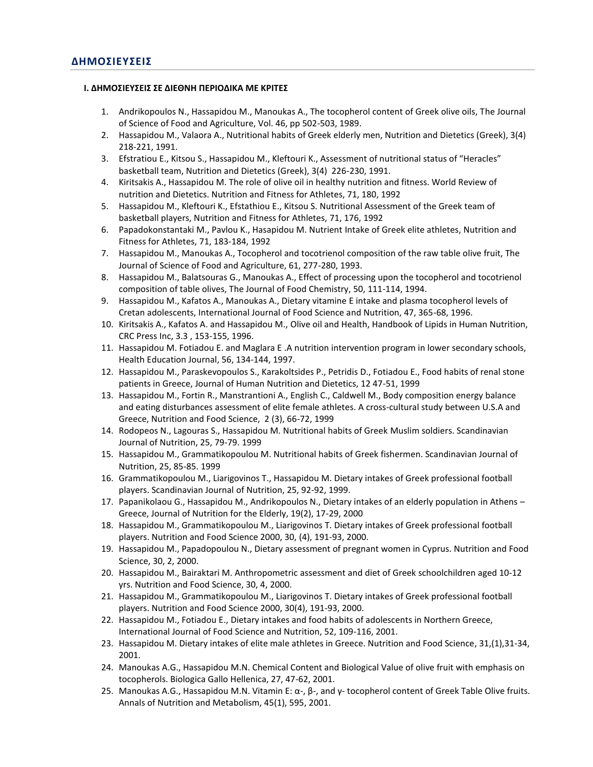#### **Ι. ΔΗΜΟΣΙΕΥΣΕΙΣ ΣΕ ΔΙΕΘΝΗ ΠΕΡΙΟΔΙΚΑ ΜΕ ΚΡΙΤΕΣ**

- 1. Andrikopoulos N., Hassapidou M., Manoukas A., The tocopherol content of Greek olive oils, The Journal of Science of Food and Agriculture, Vol. 46, pp 502-503, 1989.
- 2. Hassapidou M., Valaora A., Nutritional habits of Greek elderly men, Nutrition and Dietetics (Greek), 3(4) 218-221, 1991.
- 3. Efstratiou E., Kitsou S., Hassapidou M., Kleftouri K., Assessment of nutritional status of "Heracles" basketball team, Nutrition and Dietetics (Greek), 3(4) 226-230, 1991.
- 4. Kiritsakis A., Hassapidou M. The role of olive oil in healthy nutrition and fitness. World Review of nutrition and Dietetics. Nutrition and Fitness for Athletes, 71, 180, 1992
- 5. Hassapidou M., Kleftouri K., Efstathiou E., Kitsou S. Nutritional Assessment of the Greek team of basketball players, Nutrition and Fitness for Athletes, 71, 176, 1992
- 6. Papadokonstantaki M., Pavlou K., Hasapidou M. Nutrient Intake of Greek elite athletes, Nutrition and Fitness for Athletes, 71, 183-184, 1992
- 7. Hassapidou M., Manoukas A., Tocopherol and tocotrienol composition of the raw table olive fruit, The Journal of Science of Food and Agriculture, 61, 277-280, 1993.
- 8. Hassapidou M., Balatsouras G., Manoukas A., Effect of processing upon the tocopherol and tocotrienol composition of table olives, The Journal of Food Chemistry, 50, 111-114, 1994.
- 9. Hassapidou M., Kafatos A., Manoukas A., Dietary vitamine E intake and plasma tocopherol levels of Cretan adolescents, International Journal of Food Science and Nutrition, 47, 365-68, 1996.
- 10. Kiritsakis A., Kafatos A. and Hassapidou M., Olive oil and Health, Handbook of Lipids in Human Nutrition, CRC Press Inc, 3.3 , 153-155, 1996.
- 11. Hassapidou M. Fotiadou E. and Maglara E .A nutrition intervention program in lower secondary schools, Health Education Journal, 56, 134-144, 1997.
- 12. Hassapidou Μ., Paraskevopoulos S., Karakoltsides P., Petridis D., Fotiadou E., Food habits of renal stone patients in Greece, Journal of Human Nutrition and Dietetics, 12 47-51, 1999
- 13. Hassapidou M., Fortin R., Manstrantioni A., English C., Caldwell M., Body composition energy balance and eating disturbances assessment of elite female athletes. A cross-cultural study between U.S.A and Greece, Nutrition and Food Science, 2 (3), 66-72, 1999
- 14. Rodopeos N., Lagouras S., Hassapidou M. Nutritional habits of Greek Muslim soldiers. Scandinavian Journal of Nutrition, 25, 79-79. 1999
- 15. Hassapidou M., Grammatikopoulou M. Nutritional habits of Greek fishermen. Scandinavian Journal of Nutrition, 25, 85-85. 1999
- 16. Grammatikopoulou M., Liarigovinos T., Hassapidou M. Dietary intakes of Greek professional football players. Scandinavian Journal of Nutrition, 25, 92-92, 1999.
- 17. Papanikolaou G., Hassapidou M., Andrikopoulos N., Dietary intakes of an elderly population in Athens Greece, Journal of Nutrition for the Elderly, 19(2), 17-29, 2000
- 18. Hassapidou M., Grammatikopoulou M., Liarigovinos T. Dietary intakes of Greek professional football players. Nutrition and Food Science 2000, 30, (4), 191-93, 2000.
- 19. Hassapidou M., Papadopoulou N., Dietary assessment of pregnant women in Cyprus. Nutrition and Food Science, 30, 2, 2000.
- 20. Hassapidou M., Bairaktari M. Anthropometric assessment and diet of Greek schoolchildren aged 10-12 yrs. Nutrition and Food Science, 30, 4, 2000.
- 21. Hassapidou M., Grammatikopoulou M., Liarigovinos T. Dietary intakes of Greek professional football players. Nutrition and Food Science 2000, 30(4), 191-93, 2000.
- 22. Hassapidou M., Fotiadou E., Dietary intakes and food habits of adolescents in Northern Greece, International Journal of Food Science and Nutrition, 52, 109-116, 2001.
- 23. Hassapidou M. Dietary intakes of elite male athletes in Greece. Nutrition and Food Science, 31,(1),31-34, 2001.
- 24. Manoukas A.G., Hassapidou M.N. Chemical Content and Biological Value of olive fruit with emphasis on tocopherols. Biologica Gallo Hellenica, 27, 47-62, 2001.
- 25. Manoukas A.G., Hassapidou M.N. Vitamin E: α-, β-, and γ- tocopherol content of Greek Table Olive fruits. Annals of Nutrition and Metabolism, 45(1), 595, 2001.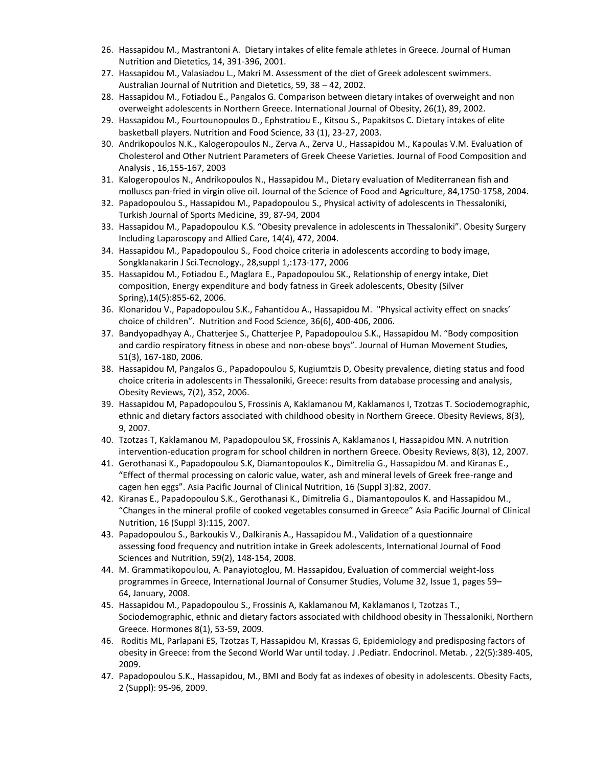- 26. Hassapidou M., Mastrantoni A. Dietary intakes of elite female athletes in Greece. Journal of Human Nutrition and Dietetics, 14, 391-396, 2001.
- 27. Hassapidou M., Valasiadou L., Makri M. Assessment of the diet of Greek adolescent swimmers. Australian Journal of Nutrition and Dietetics, 59, 38 – 42, 2002.
- 28. Hassapidou M., Fotiadou E., Pangalos G. Comparison between dietary intakes of overweight and non overweight adolescents in Northern Greece. International Journal of Obesity, 26(1), 89, 2002.
- 29. Hassapidou M., Fourtounopoulos D., Ephstratiou E., Kitsou S., Papakitsos C. Dietary intakes of elite basketball players. Nutrition and Food Science, 33 (1), 23-27, 2003.
- 30. Andrikopoulos N.K., Kalogeropoulos N., Zerva A., Zerva U., Hassapidou M., Kapoulas V.M. Evaluation of Cholesterol and Other Nutrient Parameters of Greek Cheese Varieties. Journal of Food Composition and Analysis , 16,155-167, 2003
- 31. Kalogeropoulos N., Andrikopoulos N., Hassapidou M., Dietary evaluation of Mediterranean fish and molluscs pan-fried in virgin olive oil. Journal of the Science of Food and Agriculture, 84,1750-1758, 2004.
- 32. Papadopoulou S., Hassapidou M., Papadopoulou S., Physical activity of adolescents in Thessaloniki, Turkish Journal of Sports Medicine, 39, 87-94, 2004
- 33. Hassapidou M., Papadopoulou K.S. "Obesity prevalence in adolescents in Thessaloniki". Obesity Surgery Including Laparoscopy and Allied Care, 14(4), 472, 2004.
- 34. Hassapidou M., Papadopoulou S., Food choice criteria in adolescents according to body image, Songklanakarin J Sci.Tecnology., 28,suppl 1,:173-177, 2006
- 35. Hassapidou M., Fotiadou E., Maglara E., Papadopoulou SK., Relationship of energy intake, Diet composition, Energy expenditure and body fatness in Greek adolescents, Obesity (Silver Spring),14(5):855-62, 2006.
- 36. Klonaridou V., Papadopoulou S.K., Fahantidou A., Hassapidou M. "Physical activity effect on snacks' choice of children". Nutrition and Food Science, 36(6), 400-406, 2006.
- 37. Bandyopadhyay A., Chatterjee S., Chatterjee P, Papadopoulou S.K., Hassapidou M. "Body composition and cardio respiratory fitness in obese and non-obese boys". Journal of Human Movement Studies, 51(3), 167-180, 2006.
- 38. Hassapidou M, Pangalos G., Papadopoulou S, Kugiumtzis D, Obesity prevalence, dieting status and food choice criteria in adolescents in Thessaloniki, Greece: results from database processing and analysis, Obesity Reviews, 7(2), 352, 2006.
- 39. Hassapidou M, Papadopoulou S, Frossinis A, Kaklamanou M, Kaklamanos I, Tzotzas T. Sociodemographic, ethnic and dietary factors associated with childhood obesity in Northern Greece. Obesity Reviews, 8(3), 9, 2007.
- 40. Tzotzas T, Kaklamanou M, Papadopoulou SΚ, Frossinis A, Kaklamanos I, Hassapidou MΝ. A nutrition intervention-education program for school children in northern Greece. Obesity Reviews, 8(3), 12, 2007.
- 41. Gerothanasi K., Papadopoulou S.K, Diamantopoulos K., Dimitrelia G., Hassapidou M. and Kiranas E., "Effect of thermal processing on caloric value, water, ash and mineral levels of Greek free-range and cagen hen eggs". Asia Pacific Journal of Clinical Nutrition, 16 (Suppl 3):82, 2007.
- 42. Kiranas E., Papadopoulou S.K., Gerothanasi K., Dimitrelia G., Diamantopoulos K. and Hassapidou M., "Changes in the mineral profile of cooked vegetables consumed in Greece" Asia Pacific Journal of Clinical Nutrition, 16 (Suppl 3):115, 2007.
- 43. Papadopoulou S., Barkoukis V., Dalkiranis A., Hassapidou M., Validation of a questionnaire assessing food frequency and nutrition intake in Greek adolescents, International Journal of Food Sciences and Nutrition, 59(2), 148-154, 2008.
- 44. M. Grammatikopoulou, A. Panayiotoglou, M. Hassapidou, Evaluation of commercial weight-loss programmes in Greece, International Journal of Consumer Studies, [Volume](http://onlinelibrary.wiley.com/doi/10.1111/ijc.2008.32.issue-1/issuetoc) 32, Issue 1, pages 59– 64, January, 2008.
- 45. Hassapidou M., Papadopoulou S., Frossinis A, Kaklamanou M, Kaklamanos I, Tzotzas T., Sociodemographic, ethnic and dietary factors associated with childhood obesity in Thessaloniki, Northern Greece. Hormones 8(1), 53-59, 2009.
- 46. [Roditis ML,](http://www.ncbi.nlm.nih.gov/pubmed?term=%22Roditis%20ML%22%5BAuthor%5D) [Parlapani ES,](http://www.ncbi.nlm.nih.gov/pubmed?term=%22Parlapani%20ES%22%5BAuthor%5D) [Tzotzas T,](http://www.ncbi.nlm.nih.gov/pubmed?term=%22Tzotzas%20T%22%5BAuthor%5D) [Hassapidou M,](http://www.ncbi.nlm.nih.gov/pubmed?term=%22Hassapidou%20M%22%5BAuthor%5D) [Krassas G, E](http://www.ncbi.nlm.nih.gov/pubmed?term=%22Krassas%20GE%22%5BAuthor%5D)pidemiology and predisposing factors of obesity in Greece: from the Second World War until today. J .Pediatr. Endocrinol. Metab. , 22(5):389-405, 2009.
- 47. Papadopoulou S.K., Hassapidou, M., BMI and Body fat as indexes of obesity in adolescents. Obesity Facts, 2 (Suppl): 95-96, 2009.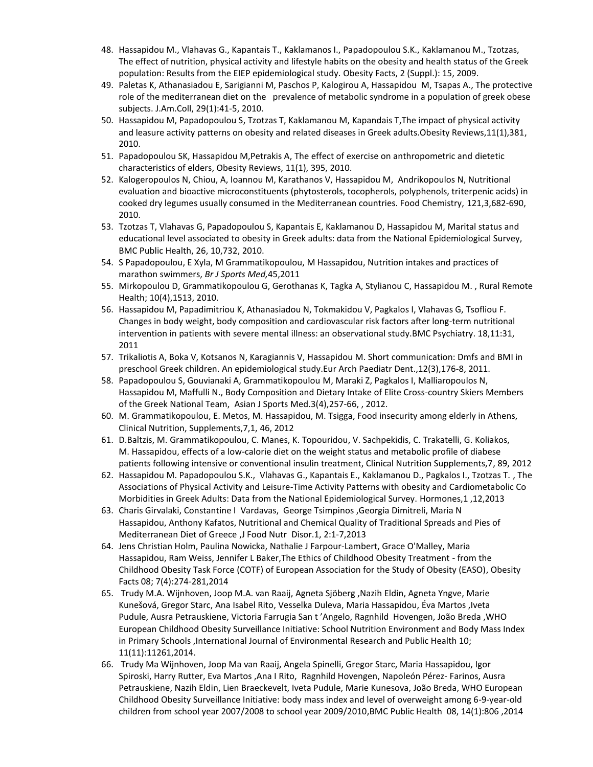- 48. Hassapidou M., Vlahavas G., Kapantais T., Kaklamanos I., Papadopoulou S.K., Kaklamanou M., Tzotzas, The effect of nutrition, physical activity and lifestyle habits on the obesity and health status of the Greek population: Results from the EIEP epidemiological study. Obesity Facts, 2 (Suppl.): 15, 2009.
- 49. [Paletas K,](http://www.ncbi.nlm.nih.gov/pubmed?term=%22Paletas%20K%22%5BAuthor%5D) [Athanasiadou E,](http://www.ncbi.nlm.nih.gov/pubmed?term=%22Athanasiadou%20E%22%5BAuthor%5D) [Sarigianni M,](http://www.ncbi.nlm.nih.gov/pubmed?term=%22Sarigianni%20M%22%5BAuthor%5D) [Paschos P,](http://www.ncbi.nlm.nih.gov/pubmed?term=%22Paschos%20P%22%5BAuthor%5D) [Kalogirou A,](http://www.ncbi.nlm.nih.gov/pubmed?term=%22Kalogirou%20A%22%5BAuthor%5D) [Hassapidou M,](http://www.ncbi.nlm.nih.gov/pubmed?term=%22Hassapidou%20M%22%5BAuthor%5D) [Tsapas A.](http://www.ncbi.nlm.nih.gov/pubmed?term=%22Tsapas%20A%22%5BAuthor%5D), The protective role of the mediterranean diet on the prevalence of metabolic syndrome in a population of greek obese subjects. J.Am.Coll, 29(1):41-5, 2010.
- 50. Hassapidou M, Papadopoulou S, Tzotzas T, Kaklamanou M, Kapandais T,The impact of physical activity and leasure activity patterns on obesity and related diseases in Greek adults.Obesity Reviews,11(1),381, 2010.
- 51. Papadopoulou SK, Hassapidou M,Petrakis A, The effect of exercise on anthropometric and dietetic characteristics of elders, Obesity Reviews, 11(1), 395, 2010.
- 52. Kalogeropoulos N, Chiou, A, Ioannou M, Karathanos V, Hassapidou M, Andrikopoulos N, Nutritional evaluation and bioactive microconstituents (phytosterols, tocopherols, polyphenols, triterpenic acids) in cooked dry legumes usually consumed in the Mediterranean countries. Food Chemistry, 121,3,682-690, 2010.
- 53. Tzotzas T, Vlahavas G, Papadopoulou S, Kapantais E, Kaklamanou D, Hassapidou M, [Marital](http://www.ncbi.nlm.nih.gov/pubmed/21110843) status and educational level associated to obesity in Greek adults: data from the National [Epidemiological](http://www.ncbi.nlm.nih.gov/pubmed/21110843) Survey, [BMC Public Health, 26, 10,732, 2010.](http://www.ncbi.nlm.nih.gov/pubmed/21110843)
- 54. [S Papadopoulou,](http://bjsm.bmj.com/search?author1=S+K+Papadopoulou&sortspec=date&submit=Submit) [E Xyla,](http://bjsm.bmj.com/search?author1=E+Xyla&sortspec=date&submit=Submit) [M Grammatikopoulou,](http://bjsm.bmj.com/search?author1=M+Grammatikopoulou&sortspec=date&submit=Submit) [M Hassapidou,](http://bjsm.bmj.com/search?author1=M+Hassapidou&sortspec=date&submit=Submit) Nutrition intakes and practices of marathon swimmers, *Br J Sports Med,*45,2011
- 55. Mirkopoulou D, Grammatikopoulou G, Gerothanas K, Tagka A, Stylianou C, Hassapidou M. [,](http://www.ncbi.nlm.nih.gov/pubmed/21214302) Rural Remote Health; 10(4),1513, 2010.
- 56. Hassapidou M, Papadimitriou K, Athanasiadou N, Tokmakidou V, Pagkalos I, Vlahavas G, Tsofliou F. Changes in body weight, body composition and [cardiovascular](http://www.ncbi.nlm.nih.gov/pubmed/21332986) risk factors after long-term nutritional intervention in patients with severe mental illness: an [observational](http://www.ncbi.nlm.nih.gov/pubmed/21332986) study.BMC Psychiatry. 18,11:31, 2011
- 57. Trikaliotis A, Boka V, Kotsanos N, Karagiannis V, Hassapidou M. Short [communication:](http://www.ncbi.nlm.nih.gov/pubmed/21640065) Dmfs and BMI in preschool Greek children. An [epidemiological](http://www.ncbi.nlm.nih.gov/pubmed/21640065) study.Eur Arch Paediatr Dent.,12(3),176-8, 2011.
- 58. Papadopoulou S, Gouvianaki A, Grammatikopoulou M, Maraki Z, Pagkalos I, Malliaropoulos N, Hassapidou M, Maffulli N., [Body Composition and Dietary Intake of Elite Cross-country Skiers Members](http://www.ncbi.nlm.nih.gov/pubmed/23342224)  [of the Greek National Team,](http://www.ncbi.nlm.nih.gov/pubmed/23342224) Asian J Sports Med.3(4),257-66, , 2012.
- 60. M. [Grammatikopoulou,](http://www.clinicalnutritionsupplements.com/article/S1744-1161(12)70104-7/abstract) E. [Metos,](http://www.clinicalnutritionsupplements.com/article/S1744-1161(12)70104-7/abstract) M. [Hassapidou,](http://www.clinicalnutritionsupplements.com/article/S1744-1161(12)70104-7/abstract) M. [Tsigga,](http://www.clinicalnutritionsupplements.com/article/S1744-1161(12)70104-7/abstract) Food insecurity among elderly in Athens, Clinical Nutrition, Supplements,7,1, 46, 2012
- 61. [D.Baltzis,](http://www.clinicalnutritionsupplements.com/article/S1744-1161(12)70211-9/abstract) M. [Grammatikopoulou,](http://www.clinicalnutritionsupplements.com/article/S1744-1161(12)70211-9/abstract) C. [Manes,](http://www.clinicalnutritionsupplements.com/article/S1744-1161(12)70211-9/abstract) K. [Topouridou,](http://www.clinicalnutritionsupplements.com/article/S1744-1161(12)70211-9/abstract) V. [Sachpekidis,](http://www.clinicalnutritionsupplements.com/article/S1744-1161(12)70211-9/abstract) C. [Trakatelli,](http://www.clinicalnutritionsupplements.com/article/S1744-1161(12)70211-9/abstract) G. [Koliakos,](http://www.clinicalnutritionsupplements.com/article/S1744-1161(12)70211-9/abstract) M. [Hassapidou,](http://www.clinicalnutritionsupplements.com/article/S1744-1161(12)70211-9/abstract) effects of a low-calorie diet on the weight status and metabolic profile of diabese patients following intensive or conventional insulin treatment, Clinical Nutrition Supplements,7, 89, 2012
- 62. Hassapidou M. Papadopoulou S.K., Vlahavas G., Kapantais E., Kaklamanou D., Pagkalos I., Tzotzas T. , The Associations of Physical Activity and Leisure-Time Activity Patterns with obesity and Cardiometabolic Co Morbidities in Greek Adults: Data from the National Epidemiological Survey. Hormones,1 ,12,2013
- 63. [Charis Girvalaki,](https://www.researchgate.net/researcher/84784095_Charis_Girvalaki) [Constantine I](https://www.researchgate.net/researcher/39609106_Constantine_I_Vardavas) Vardavas, George [Tsimpinos](https://www.researchgate.net/researcher/57824913_George_Tsimpinos) [,Georgia Dimitreli,](https://www.researchgate.net/researcher/2009010876_Georgia_Dimitreli) Maria N Hassapidou, [Anthony Kafatos,](https://www.researchgate.net/researcher/39806756_Anthony_Kafatos) [Nutritional and Chemical Quality of Traditional Spreads and Pies of](https://www.researchgate.net/publication/236987687_Nutritional_and_Chemical_Quality_of_Traditional_Spreads_and_Pies_of_Mediterranean_Diet_of_Greece?ev=prf_pub)  [Mediterranean Diet of Greece](https://www.researchgate.net/publication/236987687_Nutritional_and_Chemical_Quality_of_Traditional_Spreads_and_Pies_of_Mediterranean_Diet_of_Greece?ev=prf_pub) ,J Food Nutr Disor.1, 2:1-7,2013
- 64. [Jens Christian Holm,](https://www.researchgate.net/researcher/2052301504_Jens_Christian_Holm) [Paulina Nowicka,](https://www.researchgate.net/researcher/39926982_Paulina_Nowicka) [Nathalie J Farpour-Lambert,](https://www.researchgate.net/researcher/40010736_Nathalie_J_Farpour-Lambert) [Grace O'Malley,](https://www.researchgate.net/researcher/37935209_Grace_OMalley) Maria Hassapidou, [Ram Weiss,](https://www.researchgate.net/researcher/38891658_Ram_Weiss) [Jennifer L Baker](https://www.researchgate.net/researcher/38220712_Jennifer_L_Baker)[,The Ethics of Childhood Obesity Treatment -](https://www.researchgate.net/publication/264538373_The_Ethics_of_Childhood_Obesity_Treatment_-_from_the_Childhood_Obesity_Task_Force_%28COTF%29_of_European_Association_for_the_Study_of_Obesity_%28EASO%29?ev=prf_pub) from the [Childhood Obesity Task Force \(COTF\) of European Association for the Study of Obesity \(EASO\),](https://www.researchgate.net/publication/264538373_The_Ethics_of_Childhood_Obesity_Treatment_-_from_the_Childhood_Obesity_Task_Force_%28COTF%29_of_European_Association_for_the_Study_of_Obesity_%28EASO%29?ev=prf_pub) Obesity Facts 08; 7(4):274-281,2014
- 65. [Trudy M.A. Wijnhoven,](https://www.researchgate.net/researcher/2004026539_Trudy_MA_Wijnhoven) [Joop M.A. van Raaij,](https://www.researchgate.net/researcher/34359760_Joop_MA_van_Raaij) [Agneta Sjöberg](https://www.researchgate.net/researcher/14153959_Agneta_Sjoeberg) [,Nazih Eldin,](https://www.researchgate.net/researcher/2052479312_Nazih_Eldin) [Agneta](https://www.researchgate.net/researcher/13509620_Agneta_Yngve) Yngve, [Marie](https://www.researchgate.net/researcher/37620354_Marie_Kunesova)  [Kunešová](https://www.researchgate.net/researcher/37620354_Marie_Kunesova), [Gregor Starc,](https://www.researchgate.net/researcher/19206979_Gregor_Starc) [Ana Isabel Rito,](https://www.researchgate.net/researcher/2006841418_Ana_Isabel_Rito) [Vesselka Duleva,](https://www.researchgate.net/researcher/2043213705_Vesselka_Duleva) Maria Hassapidou, [Éva Martos](https://www.researchgate.net/researcher/39221079_Eva_Martos) [,Iveta](https://www.researchgate.net/researcher/38967839_Iveta_Pudule)  [Pudule,](https://www.researchgate.net/researcher/38967839_Iveta_Pudule) [Ausra Petrauskiene,](https://www.researchgate.net/researcher/2052465194_Ausra_Petrauskiene) [Victoria Farrugia San](https://www.researchgate.net/researcher/2058649578_Victoria_Farrugia_SantAngelo) t 'Angelo, [Ragnhild Hovengen,](https://www.researchgate.net/researcher/11706105_Ragnhild_Hovengen) [João Breda](https://www.researchgate.net/researcher/2006832205_Joao_Breda) [,WHO](https://www.researchgate.net/publication/268036442_WHO_European_Childhood_Obesity_Surveillance_Initiative_School_Nutrition_Environment_and_Body_Mass_Index_in_Primary_Schools?ev=prf_pub)  [European Childhood Obesity Surveillance Initiative: School Nutrition Environment and Body Mass Index](https://www.researchgate.net/publication/268036442_WHO_European_Childhood_Obesity_Surveillance_Initiative_School_Nutrition_Environment_and_Body_Mass_Index_in_Primary_Schools?ev=prf_pub)  [in Primary Schools](https://www.researchgate.net/publication/268036442_WHO_European_Childhood_Obesity_Surveillance_Initiative_School_Nutrition_Environment_and_Body_Mass_Index_in_Primary_Schools?ev=prf_pub) ,International Journal of Environmental Research and Public Health 10; 11(11):11261,2014.
- 66. [Trudy Ma Wijnhoven,](https://www.researchgate.net/researcher/2052453724_Trudy_Ma_Wijnhoven) [Joop Ma van Raaij,](https://www.researchgate.net/researcher/34359760_Joop_Ma_van_Raaij) [Angela Spinelli,](https://www.researchgate.net/researcher/27775694_Angela_Spinelli) [Gregor Starc,](https://www.researchgate.net/researcher/19206979_Gregor_Starc) Maria Hassapidou, [Igor](https://www.researchgate.net/researcher/2052477930_Igor_Spiroski)  [Spiroski,](https://www.researchgate.net/researcher/2052477930_Igor_Spiroski) [Harry Rutter,](https://www.researchgate.net/researcher/9506541_Harry_Rutter) [Eva Martos](https://www.researchgate.net/researcher/39221079_Eva_Martos) [,Ana I Rito,](https://www.researchgate.net/researcher/2006841418_Ana_I_Rito) [Ragnhild Hovengen,](https://www.researchgate.net/researcher/11706105_Ragnhild_Hovengen) [Napoleón Pérez-](https://www.researchgate.net/researcher/66249541_Napoleon_Perez-Farinos) Farinos[, Ausra](https://www.researchgate.net/researcher/2052465194_Ausra_Petrauskiene)  [Petrauskiene,](https://www.researchgate.net/researcher/2052465194_Ausra_Petrauskiene) [Nazih Eldin,](https://www.researchgate.net/researcher/2052479312_Nazih_Eldin) [Lien Braeckevelt,](https://www.researchgate.net/researcher/2052450251_Lien_Braeckevelt) [Iveta Pudule,](https://www.researchgate.net/researcher/38967839_Iveta_Pudule) [Marie Kunesova,](https://www.researchgate.net/researcher/2052466006_Marie_Kune_Ova) [João Breda,](https://www.researchgate.net/researcher/2006832205_Joao_Breda) [WHO European](https://www.researchgate.net/publication/264637436_WHO_European_Childhood_Obesity_Surveillance_Initiative_body_mass_index_and_level_of_overweight_among_6-9-year-old_children_from_school_year_20072008_to_school_year_20092010?ev=prf_pub)  [Childhood Obesity Surveillance Initiative: body mass index and level of overweight among 6-9-year-old](https://www.researchgate.net/publication/264637436_WHO_European_Childhood_Obesity_Surveillance_Initiative_body_mass_index_and_level_of_overweight_among_6-9-year-old_children_from_school_year_20072008_to_school_year_20092010?ev=prf_pub)  [children from school year 2007/2008 to school year 2009/2010,](https://www.researchgate.net/publication/264637436_WHO_European_Childhood_Obesity_Surveillance_Initiative_body_mass_index_and_level_of_overweight_among_6-9-year-old_children_from_school_year_20072008_to_school_year_20092010?ev=prf_pub)BMC Public Health 08, 14(1):806 ,2014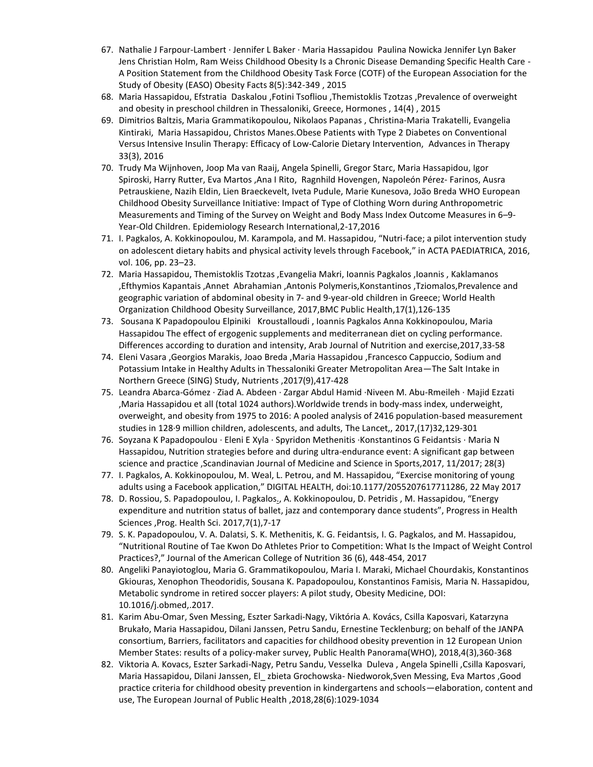- 67. Nathalie J Farpour-Lambert · Jennifer L Baker · Maria Hassapidou Paulina Nowicka Jennifer Lyn Baker Jens Christian Holm, Ram Weiss Childhood Obesity Is a Chronic Disease Demanding Specific Health Care - A Position Statement from the Childhood Obesity Task Force (COTF) of the European Association for the Study of Obesity (EASO) Obesity Facts 8(5):342-349 , 2015
- 68. Maria Hassapidou, Efstratia Daskalou ,Fotini Tsofliou ,Themistoklis Tzotzas ,Prevalence of overweight and obesity in preschool children in Thessaloniki, Greece, Hormones , 14(4) , 2015
- 69. Dimitrios Baltzis, Maria Grammatikopoulou, Nikolaos Papanas , [Christina-Maria Trakatelli,](https://www.researchgate.net/researcher/2099683407_Christina-Maria_Trakatelli) [Evangelia](https://www.researchgate.net/profile/Evangelia_Kintiraki)  [Kintiraki](https://www.researchgate.net/profile/Evangelia_Kintiraki), [Maria Hassapidou,](https://www.researchgate.net/profile/Maria_Hassapidou) [Christos Manes.](https://www.researchgate.net/researcher/2099675883_Christos_Manes)Obese Patients with Type 2 Diabetes on Conventional Versus Intensive Insulin Therapy: Efficacy of Low-Calorie Dietary Intervention, Advances in Therapy 33(3), 2016
- 70. [Trudy Ma Wijnhoven,](https://www.researchgate.net/researcher/2052453724_Trudy_Ma_Wijnhoven) [Joop Ma van Raaij,](https://www.researchgate.net/researcher/34359760_Joop_Ma_van_Raaij) [Angela Spinelli,](https://www.researchgate.net/researcher/27775694_Angela_Spinelli) [Gregor Starc,](https://www.researchgate.net/researcher/19206979_Gregor_Starc) Maria Hassapidou, [Igor](https://www.researchgate.net/researcher/2052477930_Igor_Spiroski)  [Spiroski,](https://www.researchgate.net/researcher/2052477930_Igor_Spiroski) [Harry Rutter,](https://www.researchgate.net/researcher/9506541_Harry_Rutter) [Eva Martos](https://www.researchgate.net/researcher/39221079_Eva_Martos) [,Ana I Rito,](https://www.researchgate.net/researcher/2006841418_Ana_I_Rito) [Ragnhild Hovengen,](https://www.researchgate.net/researcher/11706105_Ragnhild_Hovengen) [Napoleón Pérez-](https://www.researchgate.net/researcher/66249541_Napoleon_Perez-Farinos) Farinos[, Ausra](https://www.researchgate.net/researcher/2052465194_Ausra_Petrauskiene)  [Petrauskiene,](https://www.researchgate.net/researcher/2052465194_Ausra_Petrauskiene) [Nazih Eldin,](https://www.researchgate.net/researcher/2052479312_Nazih_Eldin) [Lien Braeckevelt,](https://www.researchgate.net/researcher/2052450251_Lien_Braeckevelt) [Iveta Pudule,](https://www.researchgate.net/researcher/38967839_Iveta_Pudule) [Marie Kunesova,](https://www.researchgate.net/researcher/2052466006_Marie_Kune_Ova) [João Breda](https://www.researchgate.net/researcher/2006832205_Joao_Breda) WHO European Childhood Obesity Surveillance Initiative: Impact of Type of Clothing Worn during Anthropometric Measurements and Timing of the Survey on Weight and Body Mass Index Outcome Measures in 6–9- Year-Old Children. Epidemiology Research International,2-17,2016
- 71. I. Pagkalos, A. Kokkinopoulou, M. Karampola, and M. Hassapidou, "Nutri-face; a pilot intervention study on adolescent dietary habits and physical activity levels through Facebook," in ACTA PAEDIATRICA, 2016, vol. 106, pp. 23–23.
- 72. Maria [Hassapidou,](https://www.researchgate.net/profile/Maria_Hassapidou?_iepl%5BviewId%5D=8Rz5PhMpFcMKIB07oIbA2yr11Fc4BdwnBUU7&_iepl%5Bcontexts%5D%5B0%5D=prfhpi&_iepl%5Bdata%5D%5BstandardItemCount%5D=3&_iepl%5Bdata%5D%5BuserSelectedItemCount%5D=0&_iepl%5Bdata%5D%5BtopHighlightCount%5D=1&_iepl%5Bdata%5D%5BstandardItemIndex%5D=1&_iepl%5Bdata%5D%5BstandardItem1of3%5D=1&_iepl%5BtargetEntityId%5D=PB%3A313022566&_iepl%5BinteractionType%5D=publicationViewCoAuthorProfile) [Themistoklis](https://www.researchgate.net/researcher/2107067890_Themistoklis_Tzotzas?_iepl%5BviewId%5D=8Rz5PhMpFcMKIB07oIbA2yr11Fc4BdwnBUU7&_iepl%5Bcontexts%5D%5B0%5D=prfhpi&_iepl%5Bdata%5D%5BstandardItemCount%5D=3&_iepl%5Bdata%5D%5BuserSelectedItemCount%5D=0&_iepl%5Bdata%5D%5BtopHighlightCount%5D=1&_iepl%5Bdata%5D%5BstandardItemIndex%5D=1&_iepl%5Bdata%5D%5BstandardItem1of3%5D=1&_iepl%5BtargetEntityId%5D=PB%3A313022566&_iepl%5BinteractionType%5D=publicationViewCoAuthorProfile) Tzotzas [,Evangelia](https://www.researchgate.net/researcher/2117243132_Evangelia_Makri?_iepl%5BviewId%5D=8Rz5PhMpFcMKIB07oIbA2yr11Fc4BdwnBUU7&_iepl%5Bcontexts%5D%5B0%5D=prfhpi&_iepl%5Bdata%5D%5BstandardItemCount%5D=3&_iepl%5Bdata%5D%5BuserSelectedItemCount%5D=0&_iepl%5Bdata%5D%5BtopHighlightCount%5D=1&_iepl%5Bdata%5D%5BstandardItemIndex%5D=1&_iepl%5Bdata%5D%5BstandardItem1of3%5D=1&_iepl%5BtargetEntityId%5D=PB%3A313022566&_iepl%5BinteractionType%5D=publicationViewCoAuthorProfile) Makri, Ioannis Pagkalos ,Ioannis , Kaklamanos ,Efthymios Kapantais ,Annet Abrahamian ,Antonis Polymeris[,Konstantinos](https://www.researchgate.net/profile/Konstantinos_Tziomalos?_iepl%5BviewId%5D=8Rz5PhMpFcMKIB07oIbA2yr11Fc4BdwnBUU7&_iepl%5Bcontexts%5D%5B0%5D=prfhpi&_iepl%5Bdata%5D%5BstandardItemCount%5D=3&_iepl%5Bdata%5D%5BuserSelectedItemCount%5D=0&_iepl%5Bdata%5D%5BtopHighlightCount%5D=1&_iepl%5Bdata%5D%5BstandardItemIndex%5D=1&_iepl%5Bdata%5D%5BstandardItem1of3%5D=1&_iepl%5BtargetEntityId%5D=PB%3A313022566&_iepl%5BinteractionType%5D=publicationViewCoAuthorProfile) ,Tziomalo[s,Prevalence](https://www.researchgate.net/publication/313022566_Prevalence_and_geographic_variation_of_abdominal_obesity_in_7-_and_9-year-old_children_in_Greece_World_Health_Organization_Childhood_Obesity_Surveillance_Initiative_2010?_iepl%5BviewId%5D=8Rz5PhMpFcMKIB07oIbA2yr11Fc4BdwnBUU7&_iepl%5Bcontexts%5D%5B0%5D=prfhpi&_iepl%5Bdata%5D%5BstandardItemCount%5D=3&_iepl%5Bdata%5D%5BuserSelectedItemCount%5D=0&_iepl%5Bdata%5D%5BtopHighlightCount%5D=1&_iepl%5Bdata%5D%5BstandardItemIndex%5D=1&_iepl%5Bdata%5D%5BstandardItem1of3%5D=1&_iepl%5BtargetEntityId%5D=PB%3A313022566&_iepl%5BinteractionType%5D=publicationTitle) and [geographic](https://www.researchgate.net/publication/313022566_Prevalence_and_geographic_variation_of_abdominal_obesity_in_7-_and_9-year-old_children_in_Greece_World_Health_Organization_Childhood_Obesity_Surveillance_Initiative_2010?_iepl%5BviewId%5D=8Rz5PhMpFcMKIB07oIbA2yr11Fc4BdwnBUU7&_iepl%5Bcontexts%5D%5B0%5D=prfhpi&_iepl%5Bdata%5D%5BstandardItemCount%5D=3&_iepl%5Bdata%5D%5BuserSelectedItemCount%5D=0&_iepl%5Bdata%5D%5BtopHighlightCount%5D=1&_iepl%5Bdata%5D%5BstandardItemIndex%5D=1&_iepl%5Bdata%5D%5BstandardItem1of3%5D=1&_iepl%5BtargetEntityId%5D=PB%3A313022566&_iepl%5BinteractionType%5D=publicationTitle) variation of abdominal obesity in 7- and 9-year-old children in Greece; World Health [Organization](https://www.researchgate.net/publication/313022566_Prevalence_and_geographic_variation_of_abdominal_obesity_in_7-_and_9-year-old_children_in_Greece_World_Health_Organization_Childhood_Obesity_Surveillance_Initiative_2010?_iepl%5BviewId%5D=8Rz5PhMpFcMKIB07oIbA2yr11Fc4BdwnBUU7&_iepl%5Bcontexts%5D%5B0%5D=prfhpi&_iepl%5Bdata%5D%5BstandardItemCount%5D=3&_iepl%5Bdata%5D%5BuserSelectedItemCount%5D=0&_iepl%5Bdata%5D%5BtopHighlightCount%5D=1&_iepl%5Bdata%5D%5BstandardItemIndex%5D=1&_iepl%5Bdata%5D%5BstandardItem1of3%5D=1&_iepl%5BtargetEntityId%5D=PB%3A313022566&_iepl%5BinteractionType%5D=publicationTitle) Childhood Obesity Surveillance, 2017,BMC Public Health,17(1),126-135
- 73. [Sousana K Papadopoulou](https://www.researchgate.net/profile/Sousana_Papadopoulou2) Elpiniki [Kroustalloudi](https://www.researchgate.net/researcher/2127021185_Elpiniki_Kroustalloudi) , [Ioannis Pagkalos](https://www.researchgate.net/profile/Ioannis_Pagkalos) [Anna Kokkinopoulou,](https://www.researchgate.net/researcher/2127029247_Anna_Kokkinopoulou) Maria Hassapidou The effect of ergogenic supplements and mediterranean diet on cycling performance. Differences according to duration and intensity, Arab Journal of Nutrition and exercise,2017,33-58
- 74. [Eleni Vasara](https://www.researchgate.net/profile/Eleni_Vasara2?_iepl%5BviewId%5D=0hWGDsVwj5ClzXIC1O1zWEbf9LwMDgE8QV24&_iepl%5Bcontexts%5D%5B0%5D=prfhpi&_iepl%5Bdata%5D%5BstandardItemCount%5D=3&_iepl%5Bdata%5D%5BuserSelectedItemCount%5D=0&_iepl%5Bdata%5D%5BtopHighlightCount%5D=1&_iepl%5Bdata%5D%5BstandardItemIndex%5D=3&_iepl%5Bdata%5D%5BstandardItem3of3%5D=1&_iepl%5BtargetEntityId%5D=PB%3A316351659&_iepl%5BinteractionType%5D=publicationViewCoAuthorProfile) [,Georgios Marakis,](https://www.researchgate.net/researcher/2035401043_Georgios_Marakis?_iepl%5BviewId%5D=0hWGDsVwj5ClzXIC1O1zWEbf9LwMDgE8QV24&_iepl%5Bcontexts%5D%5B0%5D=prfhpi&_iepl%5Bdata%5D%5BstandardItemCount%5D=3&_iepl%5Bdata%5D%5BuserSelectedItemCount%5D=0&_iepl%5Bdata%5D%5BtopHighlightCount%5D=1&_iepl%5Bdata%5D%5BstandardItemIndex%5D=3&_iepl%5Bdata%5D%5BstandardItem3of3%5D=1&_iepl%5BtargetEntityId%5D=PB%3A316351659&_iepl%5BinteractionType%5D=publicationViewCoAuthorProfile) [Joao Breda](https://www.researchgate.net/profile/Joao_Breda2?_iepl%5BviewId%5D=0hWGDsVwj5ClzXIC1O1zWEbf9LwMDgE8QV24&_iepl%5Bcontexts%5D%5B0%5D=prfhpi&_iepl%5Bdata%5D%5BstandardItemCount%5D=3&_iepl%5Bdata%5D%5BuserSelectedItemCount%5D=0&_iepl%5Bdata%5D%5BtopHighlightCount%5D=1&_iepl%5Bdata%5D%5BstandardItemIndex%5D=3&_iepl%5Bdata%5D%5BstandardItem3of3%5D=1&_iepl%5BtargetEntityId%5D=PB%3A316351659&_iepl%5BinteractionType%5D=publicationViewCoAuthorProfile) ,Maria Hassapidou [,Francesco Cappuccio,](https://www.researchgate.net/profile/Francesco_Cappuccio?_iepl%5BviewId%5D=0hWGDsVwj5ClzXIC1O1zWEbf9LwMDgE8QV24&_iepl%5Bcontexts%5D%5B0%5D=prfhpi&_iepl%5Bdata%5D%5BstandardItemCount%5D=3&_iepl%5Bdata%5D%5BuserSelectedItemCount%5D=0&_iepl%5Bdata%5D%5BtopHighlightCount%5D=1&_iepl%5Bdata%5D%5BstandardItemIndex%5D=3&_iepl%5Bdata%5D%5BstandardItem3of3%5D=1&_iepl%5BtargetEntityId%5D=PB%3A316351659&_iepl%5BinteractionType%5D=publicationViewCoAuthorProfile) Sodium and Potassium Intake in Healthy Adults in Thessaloniki Greater Metropolitan Area—The Salt Intake in Northern Greece (SING) Study, Nutrients ,2017(9),417-428
- 75. Leandra Abarca-Gómez · [Ziad A. Abdeen](https://www.researchgate.net/profile/Ziad_Abdeen3) · [Zargar Abdul Hamid](https://www.researchgate.net/profile/Abdul_Zargar) [·Niveen M. Abu-Rmeileh](https://www.researchgate.net/profile/Niveen_Abu-Rmeileh) · [Majid Ezzati](https://www.researchgate.net/scientific-contributions/39948352_Majid_Ezzati) ,Maria Hassapidou et all (total 1024 authors).Worldwide trends in body-mass index, underweight, overweight, and obesity from 1975 to 2016: A pooled analysis of 2416 population-based measurement studies in 128·9 million children, adolescents, and adults[, The Lancet,](https://www.researchgate.net/journal/0140-6736_The_Lancet), 2017,(17)32,129-301
- 76. [Soyzana K Papadopoulou](https://www.researchgate.net/profile/Sousana_Papadopoulou2) · [Eleni E Xyla](https://www.researchgate.net/scientific-contributions/2135004438_Eleni_E_Xyla) · [Spyridon Methenitis](https://www.researchgate.net/profile/Spyridon_Methenitis) [·Konstantinos G Feidantsis](https://www.researchgate.net/profile/Konstantinos_Feidantsis) · Maria N Hassapidou, Nutrition strategies before and during ultra-endurance event: A significant gap between science and practice ,Scandinavian Journal of Medicine and Science in Sports,2017, 11/2017; 28(3)
- 77. I. Pagkalos, A. Kokkinopoulou, M. Weal, L. Petrou, and M. Hassapidou, "Exercise monitoring of young adults using a Facebook application," DIGITAL HEALTH, [doi:10.1177/2055207617711286,](https://doi.org/10.1177/2055207617711286) 22 May 2017
- 78. D. Rossiou, S. Papadopoulou, I. Pagkalos., A. Kokkinopoulou, D. Petridis, M. Hassapidou, "Energy expenditure and nutrition status of ballet, jazz and contemporary dance students", Progress in Health Sciences ,Prog. Health Sci. 2017,7(1),7-17
- 79. S. K. Papadopoulou, V. A. Dalatsi, S. K. Methenitis, K. G. Feidantsis, I. G. Pagkalos, and M. Hassapidou, "Nutritional Routine of Tae Kwon Do Athletes Prior to Competition: What Is the Impact of Weight Control Practices?," Journal of the American College of Nutrition 36 (6), 448-454, 2017
- 80. Angeliki Panayiotoglou, Maria G. Grammatikopoulou, Maria I. Maraki, Michael Chourdakis, Konstantinos Gkiouras, Xenophon Theodoridis, Sousana K. Papadopoulou, Konstantinos Famisis, Maria N. Hassapidou, Metabolic syndrome in retired soccer players: A pilot study, Obesity Medicine, DOI: 10.1016/j.obmed,.2017.
- 81. Karim Abu-Omar, Sven Messing, Eszter Sarkadi-Nagy, Viktória A. Kovács, Csilla Kaposvari, Katarzyna Brukało, Maria Hassapidou, Dilani Janssen, Petru Sandu, Ernestine Tecklenburg; on behalf of the JANPA consortium, Barriers, facilitators and capacities for childhood obesity prevention in 12 European Union Member States: results of a policy-maker survey, Public Health Panorama(WHO), 2018,4(3),360-368
- 82. Viktoria A. Kovacs, Eszter Sarkadi-Nagy, Petru Sandu, Vesselka Duleva , Angela Spinelli ,Csilla Kaposvari, Maria Hassapidou, Dilani Janssen, El\_ zbieta Grochowska- Niedworok,Sven Messing, Eva Martos ,Good practice criteria for childhood obesity prevention in kindergartens and schools—elaboration, content and use, The European Journal of Public Health ,2018,28(6):1029-1034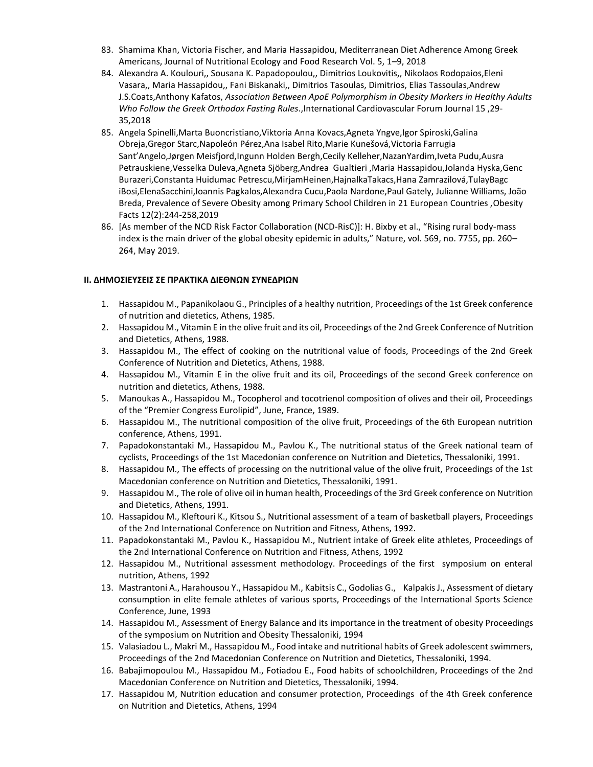- 83. Shamima Khan, Victoria Fischer, and Maria Hassapidou, Mediterranean Diet Adherence Among Greek Americans, Journal of Nutritional Ecology and Food Research Vol. 5, 1–9, 2018
- 84. Alexandra A. Koulouri,, Sousana K. Papadopoulou,, Dimitrios Loukovitis,, Nikolaos Rodopaios,Eleni Vasara,, Maria Hassapidou,, Fani Biskanaki,, Dimitrios Tasoulas, Dimitrios, Elias Tassoulas,Andrew J.S.Coats,Anthony Kafatos, *Association Between ApoE Polymorphism in Obesity Markers in Healthy Adults Who Follow the Greek Orthodox Fasting Rules*.,International Cardiovascular Forum Journal 15 ,29- 35,2018
- 85. Angela Spinelli,Marta Buoncristiano,Viktoria Anna Kovacs,Agneta Yngve,Igor Spiroski,Galina Obreja,Gregor Starc,Napoleón Pérez,Ana Isabel Rito,Marie Kunešová,Victoria Farrugia Sant'Angelo,Jørgen Meisfjord,Ingunn Holden Bergh,Cecily Kelleher,NazanYardim,Iveta Pudu,Ausra Petrauskiene,Vesselka Duleva,Agneta Sjöberg,Andrea Gualtieri ,Maria Hassapidou,Jolanda Hyska,Genc Burazeri,Constanta Huidumac Petrescu,MirjamHeinen,HajnalkaTakacs,Hana Zamrazilová,TulayBagc iBosi,ElenaSacchini,Ioannis Pagkalos,Alexandra Cucu,Paola Nardone,Paul Gately, Julianne Williams, João Breda, Prevalence of Severe Obesity among Primary School Children in 21 European Countries ,Obesity Facts 12(2):244-258,2019
- 86. [As member of the NCD Risk Factor Collaboration (NCD-RisC)]: H. Bixby et al., "Rising rural body-mass index is the main driver of the global obesity epidemic in adults," Nature, vol. 569, no. 7755, pp. 260– 264, May 2019.

### **ΙΙ. ΔΗΜΟΣΙΕΥΣΕΙΣ ΣΕ ΠΡΑΚΤΙΚΑ ΔΙΕΘΝΩΝ ΣΥΝΕΔΡΙΩΝ**

- 1. Hassapidou M., Papanikolaou G., Principles of a healthy nutrition, Proceedings of the 1st Greek conference of nutrition and dietetics, Athens, 1985.
- 2. Hassapidou M., Vitamin E in the olive fruit and its oil, Proceedings of the 2nd Greek Conference of Nutrition and Dietetics, Athens, 1988.
- 3. Hassapidou M., The effect of cooking on the nutritional value of foods, Proceedings of the 2nd Greek Conference of Nutrition and Dietetics, Athens, 1988.
- 4. Hassapidou M., Vitamin E in the olive fruit and its oil, Proceedings of the second Greek conference on nutrition and dietetics, Athens, 1988.
- 5. Manoukas A., Hassapidou M., Tocopherol and tocotrienol composition of olives and their oil, Proceedings of the "Premier Congress Eurolipid", June, France, 1989.
- 6. Hassapidou M., The nutritional composition of the olive fruit, Proceedings of the 6th European nutrition conference, Athens, 1991.
- 7. Papadokonstantaki M., Hassapidou M., Pavlou K., The nutritional status of the Greek national team of cyclists, Proceedings of the 1st Macedonian conference on Nutrition and Dietetics, Thessaloniki, 1991.
- 8. Hassapidou M., The effects of processing on the nutritional value of the olive fruit, Proceedings of the 1st Macedonian conference on Nutrition and Dietetics, Thessaloniki, 1991.
- 9. Hassapidou M., The role of olive oil in human health, Proceedings of the 3rd Greek conference on Nutrition and Dietetics, Athens, 1991.
- 10. Hassapidou M., Kleftouri K., Kitsou S., Nutritional assessment of a team of basketball players, Proceedings of the 2nd International Conference on Nutrition and Fitness, Athens, 1992.
- 11. Papadokonstantaki M., Pavlou K., Hassapidou M., Nutrient intake of Greek elite athletes, Proceedings of the 2nd International Conference on Nutrition and Fitness, Athens, 1992
- 12. Hassapidou M., Nutritional assessment methodology. Proceedings of the first symposium on enteral nutrition, Athens, 1992
- 13. Mastrantoni A., Harahousou Y., Hassapidou M., Kabitsis C., Godolias G., Kalpakis J., Assessment of dietary consumption in elite female athletes of various sports, Proceedings of the International Sports Science Conference, June, 1993
- 14. Hassapidou M., Assessment of Energy Balance and its importance in the treatment of obesity Proceedings of the symposium on Nutrition and Obesity Thessaloniki, 1994
- 15. Valasiadou L., Makri M., Hassapidou M., Food intake and nutritional habits of Greek adolescent swimmers, Proceedings of the 2nd Macedonian Conference on Nutrition and Dietetics, Thessaloniki, 1994.
- 16. Babajimopoulou M., Hassapidou M., Fotiadou E., Food habits of schoolchildren, Proceedings of the 2nd Macedonian Conference on Nutrition and Dietetics, Thessaloniki, 1994.
- 17. Hassapidou M, Nutrition education and consumer protection, Proceedings of the 4th Greek conference on Nutrition and Dietetics, Athens, 1994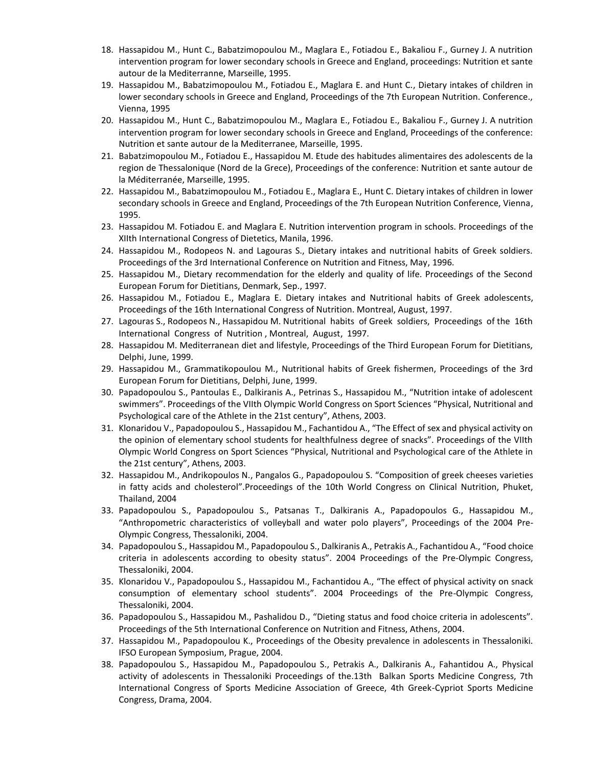- 18. Hassapidou M., Hunt C., Babatzimopoulou M., Maglara E., Fotiadou E., Bakaliou F., Gurney J. A nutrition intervention program for lower secondary schools in Greece and England, proceedings: Nutrition et sante autour de la Mediterranne, Marseille, 1995.
- 19. Hassapidou M., Babatzimopoulou M., Fotiadou E., Maglara E. and Hunt C., Dietary intakes of children in lower secondary schools in Greece and England, Proceedings of the 7th European Nutrition. Conference., Vienna, 1995
- 20. Hassapidou M., Hunt C., Babatzimopoulou M., Maglara E., Fotiadou E., Bakaliou F., Gurney J. A nutrition intervention program for lower secondary schools in Greece and England, Proceedings of the conference: Nutrition et sante autour de la Mediterranee, Marseille, 1995.
- 21. Babatzimopoulou M., Fotiadou E., Hassapidou M. Etude des habitudes alimentaires des adolescents de la region de Thessalonique (Nord de la Grece), Proceedings of the conference: Nutrition et sante autour de la Méditerranée, Marseille, 1995.
- 22. Hassapidou M., Babatzimopoulou M., Fotiadou E., Maglara E., Hunt C. Dietary intakes of children in lower secondary schools in Greece and England, Proceedings of the 7th European Nutrition Conference, Vienna, 1995.
- 23. Hassapidou M. Fotiadou E. and Maglara E. Nutrition intervention program in schools. Proceedings of the XIIth International Congress of Dietetics, Manila, 1996.
- 24. Hassapidou M., Rodopeos N. and Lagouras S., Dietary intakes and nutritional habits of Greek soldiers. Proceedings of the 3rd International Conference on Nutrition and Fitness, May, 1996.
- 25. Hassapidou M., Dietary recommendation for the elderly and quality of life. Proceedings of the Second European Forum for Dietitians, Denmark, Sep., 1997.
- 26. Hassapidou M., Fotiadou E., Maglara E. Dietary intakes and Nutritional habits of Greek adolescents, Proceedings of the 16th International Congress of Nutrition. Montreal, August, 1997.
- 27. Lagouras S., Rodopeos N., Hassapidou M. Nutritional habits of Greek soldiers, Proceedings of the 16th International Congress of Nutrition , Montreal, August, 1997.
- 28. Hassapidou M. Mediterranean diet and lifestyle, Proceedings of the Third European Forum for Dietitians, Delphi, June, 1999.
- 29. Hassapidou M., Grammatikopoulou M., Nutritional habits of Greek fishermen, Proceedings of the 3rd European Forum for Dietitians, Delphi, June, 1999.
- 30. Papadopoulou S., Pantoulas E., Dalkiranis A., Petrinas S., Hassapidou M., "Nutrition intake of adolescent swimmers". Proceedings of the VIIth Olympic World Congress on Sport Sciences "Physical, Nutritional and Psychological care of the Athlete in the 21st century", Athens, 2003.
- 31. Klonaridou V., Papadopoulou S., Hassapidou M., Fachantidou A., "The Effect of sex and physical activity on the opinion of elementary school students for healthfulness degree of snacks". Proceedings of the VIIth Olympic World Congress on Sport Sciences "Physical, Nutritional and Psychological care of the Athlete in the 21st century", Athens, 2003.
- 32. Hassapidou M., Andrikopoulos N., Pangalos G., Papadopoulou S. "Composition of greek cheeses varieties in fatty acids and cholesterol".Proceedings of the 10th World Congress on Clinical Nutrition, Phuket, Thailand, 2004
- 33. Papadopoulou S., Papadopoulou S., Patsanas T., Dalkiranis A., Papadopoulos G., Hassapidou M., "Anthropometric characteristics of volleyball and water polo players", Proceedings of the 2004 Pre-Olympic Congress, Thessaloniki, 2004.
- 34. Papadopoulou S., Hassapidou M., Papadopoulou S., Dalkiranis A., Petrakis A., Fachantidou A., "Food choice criteria in adolescents according to obesity status". 2004 Proceedings of the Pre-Olympic Congress, Thessaloniki, 2004.
- 35. Klonaridou V., Papadopoulou S., Hassapidou M., Fachantidou A., "The effect of physical activity on snack consumption of elementary school students". 2004 Proceedings of the Pre-Olympic Congress, Thessaloniki, 2004.
- 36. Papadopoulou S., Hassapidou M., Pashalidou D., "Dieting status and food choice criteria in adolescents". Proceedings of the 5th International Conference on Nutrition and Fitness, Athens, 2004.
- 37. Hassapidou M., Papadopoulou K., Proceedings of the Obesity prevalence in adolescents in Thessaloniki. IFSO European Symposium, Prague, 2004.
- 38. Papadopoulou S., Hassapidou M., Papadopoulou S., Petrakis A., Dalkiranis A., Fahantidou A., Physical activity of adolescents in Thessaloniki Proceedings of the.13th Balkan Sports Medicine Congress, 7th International Congress of Sports Medicine Association of Greece, 4th Greek-Cypriot Sports Medicine Congress, Drama, 2004.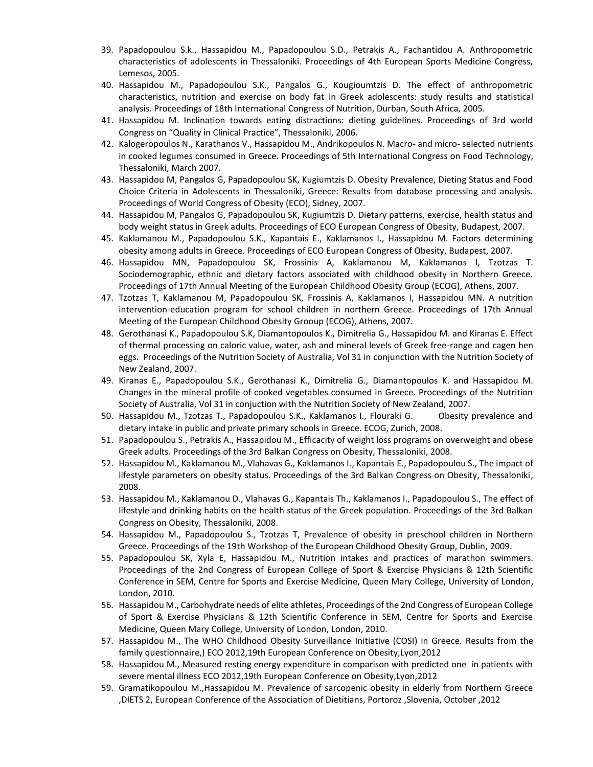- 39. Papadopoulou S.k., Hassapidou M., Papadopoulou S.D., Petrakis A., Fachantidou A. Anthropometric characteristics of adolescents in Thessaloniki. Proceedings of 4th European Sports Medicine Congress, Lemesos, 2005.
- 40. Hassapidou M., Papadopoulou S.K., Pangalos G., Kougioumtzis D. The effect of anthropometric characteristics, nutrition and exercise on body fat in Greek adolescents: study results and statistical analysis. Proceedings of 18th International Congress of Nutrition, Durban, South Africa, 2005.
- 41. Hassapidou M. Inclination towards eating distractions: dieting guidelines. Proceedings of 3rd world Congress on "Quality in Clinical Practice", Thessaloniki, 2006.
- 42. Kalogeropoulos N., Karathanos V., Hassapidou M., Andrikopoulos N. Macro- and micro- selected nutrients in cooked legumes consumed in Greece. Proceedings of 5th International Congress on Food Technology, Thessaloniki, March 2007.
- 43. Hassapidou M, Pangalos G, Papadopoulou SK, Kugiumtzis D. Obesity Prevalence, Dieting Status and Food Choice Criteria in Adolescents in Thessaloniki, Greece: Results from database processing and analysis. Proceedings of World Congress of Obesity (ECO), Sidney, 2007.
- 44. Hassapidou M, Pangalos G, Papadopoulou SK, Kugiumtzis D. Dietary patterns, exercise, health status and body weight status in Greek adults. Proceedings of ECO European Congress of Obesity, Budapest, 2007.
- 45. Kaklamanou M., Papadopoulou S.K., Kapantais E., Kaklamanos I., Hassapidou M. Factors determining obesity among adults in Greece. Proceedings of ECO European Congress of Obesity, Budapest, 2007.
- 46. Hassapidou MN, Papadopoulou SK, Frossinis A, Kaklamanou M, Kaklamanos I, Tzotzas T. Sociodemographic, ethnic and dietary factors associated with childhood obesity in Northern Greece. Proceedings of 17th Annual Meeting of the European Childhood Obesity Group (ECOG), Athens, 2007.
- 47. Tzotzas T, Kaklamanou M, Papadopoulou SΚ, Frossinis A, Kaklamanos I, Hassapidou MΝ. A nutrition intervention-education program for school children in northern Greece. Proceedings of 17th Annual Meeting of the European Childhood Obesity Grooup (ECOG), Athens, 2007.
- 48. Gerothanasi K., Papadopoulou S.K, Diamantopoulos K., Dimitrelia G., Hassapidou M. and Kiranas E. Effect of thermal processing on caloric value, water, ash and mineral levels of Greek free-range and cagen hen eggs. Proceedings of the Nutrition Society of Australia, Vol 31 in conjunction with the Nutrition Society of New Zealand, 2007.
- 49. Kiranas E., Papadopoulou S.K., Gerothanasi K., Dimitrelia G., Diamantopoulos K. and Hassapidou M. Changes in the mineral profile of cooked vegetables consumed in Greece. Proceedings of the Nutrition Society of Australia, Vol 31 in conjuction with the Nutrition Society of New Zealand, 2007.
- 50. Hassapidou M., Tzotzas T., Papadopoulou S.K., Kaklamanos I., Flouraki G. Obesity prevalence and dietary intake in public and private primary schools in Greece. ECOG, Zurich, 2008.
- 51. Papadopoulou S., Petrakis A., Hassapidou M., Efficacity of weight loss programs on overweight and obese Greek adults. Proceedings of the 3rd Balkan Congress on Obesity, Thessaloniki, 2008.
- 52. Hassapidou M., Kaklamanou M., Vlahavas G., Kaklamanos I., Kapantais E., Papadopoulou S., The impact of lifestyle parameters on obesity status. Proceedings of the 3rd Balkan Congress on Obesity, Thessaloniki, 2008.
- 53. Hassapidou M., Kaklamanou D., Vlahavas G., Kapantais Th., Kaklamanos I., Papadopoulou S., The effect of lifestyle and drinking habits on the health status of the Greek population. Proceedings of the 3rd Balkan Congress on Obesity, Thessaloniki, 2008.
- 54. Hassapidou M., Papadopoulou S., Tzotzas T, Prevalence of obesity in preschool children in Northern Greece. Proceedings of the 19th Workshop of the European Childhood Obesity Group, Dublin, 2009.
- 55. Papadopoulou SK, Xyla E, Hassapidou M., Nutrition intakes and practices of marathon swimmers. Proceedings of the 2nd Congress of European College of Sport & Exercise Physicians & 12th Scientific Conference in SEM, Centre for Sports and Exercise Medicine, Queen Mary College, University of London, London, 2010.
- 56. Hassapidou M., Carbohydrate needs of elite athletes, Proceedings of the 2nd Congress of European College of Sport & Exercise Physicians & 12th Scientific Conference in SEM, Centre for Sports and Exercise Medicine, Queen Mary College, University of London, London, 2010.
- 57. Hassapidou M., Τhe WHO Childhood Obesity Surveillance Initiative (COSI) in Greece. Results from the family questionnaire,) ECO 2012,19th European Conference on Obesity,Lyon,2012
- 58. Hassapidou M., Measured resting energy expenditure in comparison with predicted one in patients with severe mental illness ECO 2012,19th European Conference on Obesity,Lyon,2012
- 59. Gramatikopoulou M.,Hassapidou M. Prevalence of sarcopenic obesity in elderly from Northern Greece ,DIETS 2, European Conference of the Association of Dietitians, Portoroz ,Slovenia, October ,2012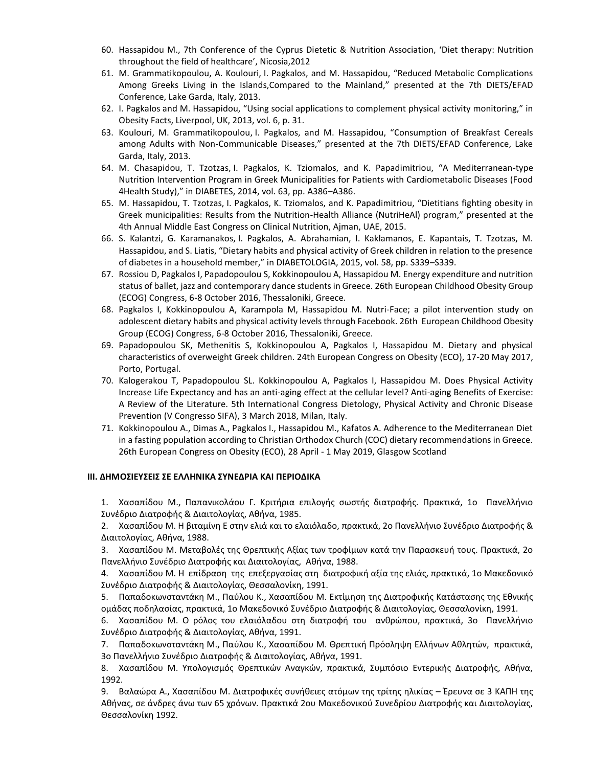- 60. Hassapidou M., 7th Conference of the Cyprus Dietetic & Nutrition Association, 'Diet therapy: Nutrition throughout the field of healthcare', Nicosia,2012
- 61. M. Grammatikopoulou, A. Koulouri, I. Pagkalos, and M. Hassapidou, "Reduced Metabolic Complications Among Greeks Living in the Islands,Compared to the Mainland," presented at the 7th DIETS/EFAD Conference, Lake Garda, Italy, 2013.
- 62. Ι. Pagkalos and M. Hassapidou, "Using social applications to complement physical activity monitoring," in Obesity Facts, Liverpool, UK, 2013, vol. 6, p. 31.
- 63. Koulouri, M. Grammatikopoulou, I. Pagkalos, and M. Hassapidou, "Consumption of Breakfast Cereals among Adults with Non-Communicable Diseases," presented at the 7th DIETS/EFAD Conference, Lake Garda, Italy, 2013.
- 64. M. Chasapidou, T. Tzotzas, I. Pagkalos, K. Tziomalos, and K. Papadimitriou, "A Mediterranean-type Nutrition Intervention Program in Greek Municipalities for Patients with Cardiometabolic Diseases (Food 4Health Study)," in DIABETES, 2014, vol. 63, pp. A386–A386.
- 65. M. Hassapidou, T. Tzotzas, I. Pagkalos, K. Tziomalos, and K. Papadimitriou, "Dietitians fighting obesity in Greek municipalities: Results from the Nutrition-Health Alliance (NutriHeAl) program," presented at the 4th Annual Middle East Congress on Clinical Nutrition, Ajman, UAE, 2015.
- 66. S. Kalantzi, G. Karamanakos, I. Pagkalos, A. Abrahamian, I. Kaklamanos, E. Kapantais, T. Tzotzas, M. Hassapidou, and S. Liatis, "Dietary habits and physical activity of Greek children in relation to the presence of diabetes in a household member," in DIABETOLOGIA, 2015, vol. 58, pp. S339–S339.
- 67. Rossiou D, Pagkalos I, Papadopoulou S, Kokkinopoulou A, Hassapidou M. Energy expenditure and nutrition status of ballet, jazz and contemporary dance students in Greece. 26th European Childhood Obesity Group (ECOG) Congress, 6-8 October 2016, Thessaloniki, Greece.
- 68. Pagkalos I, Kokkinopoulou A, Karampola M, Hassapidou M. Nutri-Face; a pilot intervention study on adolescent dietary habits and physical activity levels through Facebook. 26th European Childhood Obesity Group (ECOG) Congress, 6-8 October 2016, Thessaloniki, Greece.
- 69. Papadopoulou SK, Methenitis S, Kokkinopoulou A, Pagkalos I, Hassapidou M. Dietary and physical characteristics of overweight Greek children. 24th European Congress on Obesity (ECO), 17-20 May 2017, Porto, Portugal.
- 70. Kalogerakou T, Papadopoulou SL. Kokkinopoulou A, Pagkalos I, Hassapidou M. Does Physical Activity Increase Life Expectancy and has an anti-aging effect at the cellular level? Anti-aging Benefits of Exercise: A Review of the Literature. 5th International Congress Dietology, Physical Activity and Chronic Disease Prevention (V Congresso SIFA), 3 March 2018, Milan, Italy.
- 71. Kokkinopoulou A., Dimas A., Pagkalos I., Hassapidou M., Kafatos A. Adherence to the Mediterranean Diet in a fasting population according to Christian Orthodox Church (COC) dietary recommendations in Greece. 26th European Congress on Obesity (ECO), 28 April - 1 May 2019, Glasgow Scotland

### **ΙΙΙ. ΔΗΜΟΣΙΕΥΣΕΙΣ ΣΕ ΕΛΛΗΝΙΚΑ ΣΥΝΕΔΡΙΑ ΚΑΙ ΠΕΡΙΟΔΙΚΑ**

1. Χασαπίδου Μ., Παπανικολάου Γ. Κριτήρια επιλογής σωστής διατροφής. Πρακτικά, 1ο Πανελλήνιο Συνέδριο Διατροφής & Διαιτολογίας, Αθήνα, 1985.

2. Χασαπίδου Μ. Η βιταμίνη Ε στην ελιά και το ελαιόλαδο, πρακτικά, 2ο Πανελλήνιο Συνέδριο Διατροφής & Διαιτολογίας, Αθήνα, 1988.

3. Χασαπίδου Μ. Μεταβολές της Θρεπτικής Αξίας των τροφίμων κατά την Παρασκευή τους. Πρακτικά, 2ο Πανελλήνιο Συνέδριο Διατροφής και Διαιτολογίας, Αθήνα, 1988.

4. Χασαπίδου Μ. Η επίδραση της επεξεργασίας στη διατροφική αξία της ελιάς, πρακτικά, 1ο Μακεδονικό Συνέδριο Διατροφής & Διαιτολογίας, Θεσσαλονίκη, 1991.

5. Παπαδοκωνσταντάκη Μ., Παύλου Κ., Χασαπίδου Μ. Εκτίμηση της Διατροφικής Κατάστασης της Εθνικής ομάδας ποδηλασίας, πρακτικά, 1ο Μακεδονικό Συνέδριο Διατροφής & Διαιτολογίας, Θεσσαλονίκη, 1991.

6. Χασαπίδου Μ. Ο ρόλος του ελαιόλαδου στη διατροφή του ανθρώπου, πρακτικά, 3ο Πανελλήνιο Συνέδριο Διατροφής & Διαιτολογίας, Αθήνα, 1991.

7. Παπαδοκωνσταντάκη Μ., Παύλου Κ., Χασαπίδου Μ. Θρεπτική Πρόσληψη Ελλήνων Αθλητών, πρακτικά, 3ο Πανελλήνιο Συνέδριο Διατροφής & Διαιτολογίας, Αθήνα, 1991.

8. Χασαπίδου Μ. Υπολογισμός Θρεπτικών Αναγκών, πρακτικά, Συμπόσιο Εντερικής Διατροφής, Αθήνα, 1992.

9. Βαλαώρα Α., Χασαπίδου Μ. Διατροφικές συνήθειες ατόμων της τρίτης ηλικίας – Έρευνα σε 3 ΚΑΠΗ της Αθήνας, σε άνδρες άνω των 65 χρόνων. Πρακτικά 2ου Μακεδονικού Συνεδρίου Διατροφής και Διαιτολογίας, Θεσσαλονίκη 1992.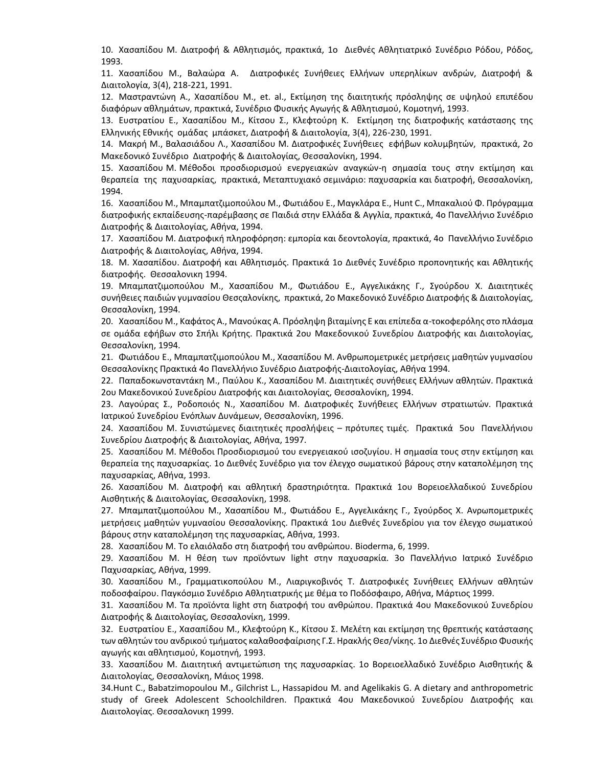10. Χασαπίδου Μ. Διατροφή & Αθλητισμός, πρακτικά, 1ο Διεθνές Αθλητιατρικό Συνέδριο Ρόδου, Ρόδος, 1993.

11. Χασαπίδου Μ., Βαλαώρα Α. Διατροφικές Συνήθειες Ελλήνων υπερηλίκων ανδρών, Διατροφή & Διαιτολογία, 3(4), 218-221, 1991.

12. Μαστραντώνη Α., Χασαπίδου Μ., et. al., Εκτίμηση της διαιτητικής πρόσληψης σε υψηλού επιπέδου διαφόρων αθλημάτων, πρακτικά, Συνέδριο Φυσικής Αγωγής & Αθλητισμού, Κομοτηνή, 1993.

13. Ευστρατίου Ε., Χασαπίδου Μ., Κίτσου Σ., Κλεφτούρη Κ. Εκτίμηση της διατροφικής κατάστασης της Ελληνικής Εθνικής ομάδας μπάσκετ, Διατροφή & Διαιτολογία, 3(4), 226-230, 1991.

14. Μακρή Μ., Βαλασιάδου Λ., Χασαπίδου Μ. Διατροφικές Συνήθειες εφήβων κολυμβητών, πρακτικά, 2ο Μακεδονικό Συνέδριο Διατροφής & Διαιτολογίας, Θεσσαλονίκη, 1994.

15. Χασαπίδου Μ. Μέθοδοι προσδιορισμού ενεργειακών αναγκών-η σημασία τους στην εκτίμηση και θεραπεία της παχυσαρκίας, πρακτικά, Μεταπτυχιακό σεμινάριο: παχυσαρκία και διατροφή, Θεσσαλονίκη, 1994.

16. Χασαπίδου Μ., Μπαμπατζιμοπούλου Μ., Φωτιάδου Ε., Μαγκλάρα Ε., Hunt C., Μπακαλιού Φ. Πρόγραμμα διατροφικής εκπαίδευσης-παρέμβασης σε Παιδιά στην Ελλάδα & Αγγλία, πρακτικά, 4ο Πανελλήνιο Συνέδριο Διατροφής & Διαιτολογίας, Αθήνα, 1994.

17. Χασαπίδου Μ. Διατροφική πληροφόρηση: εμπορία και δεοντολογία, πρακτικά, 4ο Πανελλήνιο Συνέδριο Διατροφής & Διαιτολογίας, Αθήνα, 1994.

18. Μ. Χασαπίδου. Διατροφή και Αθλητισμός. Πρακτικά 1ο Διεθνές Συνέδριο προπονητικής και Αθλητικής διατροφής. Θεσσαλονικη 1994.

19. Μπαμπατζιμοπούλου Μ., Χασαπίδου Μ., Φωτιάδου Ε., Αγγελικάκης Γ., Σγούρδου Χ. Διαιτητικές συνήθειες παιδιών γυμνασίου Θεσςαλονίκης, πρακτικά, 2ο Μακεδονικό Συνέδριο Διατροφής & Διαιτολογίας, Θεσσαλονίκη, 1994.

20. Χασαπίδου Μ., Καφάτος Α., Μανούκας Α. Πρόσληψη βιταμίνης Ε και επίπεδα α-τοκοφερόλης στο πλάσμα σε ομάδα εφήβων στο Σπήλι Κρήτης. Πρακτικά 2ου Μακεδονικού Συνεδρίου Διατροφής και Διαιτολογίας, Θεσσαλονίκη, 1994.

21. Φωτιάδου Ε., Μπαμπατζιμοπούλου Μ., Χασαπίδου Μ. Ανθρωπομετρικές μετρήσεις μαθητών γυμνασίου Θεσσαλονίκης Πρακτικά 4ο Πανελλήνιο Συνέδριο Διατροφής-Διαιτολογίας, Αθήνα 1994.

22. Παπαδοκωνσταντάκη Μ., Παύλου Κ., Χασαπίδου Μ. Διαιτητικές συνήθειες Ελλήνων αθλητών. Πρακτικά 2ου Μακεδονικού Συνεδρίου Διατροφής και Διαιτολογίας, Θεσσαλονίκη, 1994.

23. Λαγούρας Σ., Ροδοποιός Ν., Χασαπίδου Μ. Διατροφικές Συνήθειες Ελλήνων στρατιωτών. Πρακτικά Ιατρικού Συνεδρίου Ενόπλων Δυνάμεων, Θεσσαλονίκη, 1996.

24. Χασαπίδου Μ. Συνιστώμενες διαιτητικές προσλήψεις – πρότυπες τιμές. Πρακτικά 5ου Πανελλήνιου Συνεδρίου Διατροφής & Διαιτολογίας, Αθήνα, 1997.

25. Χασαπίδου Μ. Μέθοδοι Προσδιορισμού του ενεργειακού ισοζυγίου. Η σημασία τους στην εκτίμηση και θεραπεία της παχυσαρκίας. 1ο Διεθνές Συνέδριο για τον έλεγχο σωματικού βάρους στην καταπολέμηση της παχυσαρκίας, Αθήνα, 1993.

26. Χασαπίδου Μ. Διατροφή και αθλητική δραστηριότητα. Πρακτικά 1ου Βορειοελλαδικού Συνεδρίου Αισθητικής & Διαιτολογίας, Θεσσαλονίκη, 1998.

27. Μπαμπατζιμοπούλου Μ., Χασαπίδου Μ., Φωτιάδου Ε., Αγγελικάκης Γ., Σγούρδος Χ. Ανρωπομετρικές μετρήσεις μαθητών γυμνασίου Θεσσαλονίκης. Πρακτικά 1ου Διεθνές Συνεδρίου για τον έλεγχο σωματικού βάρους στην καταπολέμηση της παχυσαρκίας, Αθήνα, 1993.

28. Χασαπίδου Μ. Το ελαιόλαδο στη διατροφή του ανθρώπου. Bioderma, 6, 1999.

29. Χασαπίδου Μ. Η θέση των προϊόντων light στην παχυσαρκία. 3ο Πανελλήνιο Ιατρικό Συνέδριο Παχυσαρκίας, Αθήνα, 1999.

30. Χασαπίδου Μ., Γραμματικοπούλου Μ., Λιαριγκοβινός Τ. Διατροφικές Συνήθειες Ελλήνων αθλητών ποδοσφαίρου. Παγκόσμιο Συνέδριο Αθλητιατρικής με θέμα το Ποδόσφαιρο, Αθήνα, Μάρτιος 1999.

31. Χασαπίδου Μ. Τα προϊόντα light στη διατροφή του ανθρώπου. Πρακτικά 4ου Μακεδονικού Συνεδρίου Διατροφής & Διαιτολογίας, Θεσσαλονίκη, 1999.

32. Ευστρατίου Ε., Χασαπίδου Μ., Κλεφτούρη Κ., Κίτσου Σ. Μελέτη και εκτίμηση της θρεπτικής κατάστασης των αθλητών του ανδρικού τμήματος καλαθοσφαίρισης Γ.Σ. Ηρακλής Θεσ/νίκης. 1ο Διεθνές Συνέδριο Φυσικής αγωγής και αθλητισμού, Κομοτηνή, 1993.

33. Xασαπίδου Μ. Διαιτητική αντιμετώπιση της παχυσαρκίας. 1ο Βορειοελλαδικό Συνέδριο Αισθητικής & Διαιτολογίας, Θεσσαλονίκη, Μάιος 1998.

34.Hunt C., Babatzimopoulou M., Gilchrist L., Hassapidou M. and Agelikakis G. A dietary and anthropometric study of Greek Adolescent Schoolchildren. Πρακτικά 4ου Μακεδονικού Συνεδρίου Διατροφής και Διαιτολογίας. Θεσσαλονικη 1999.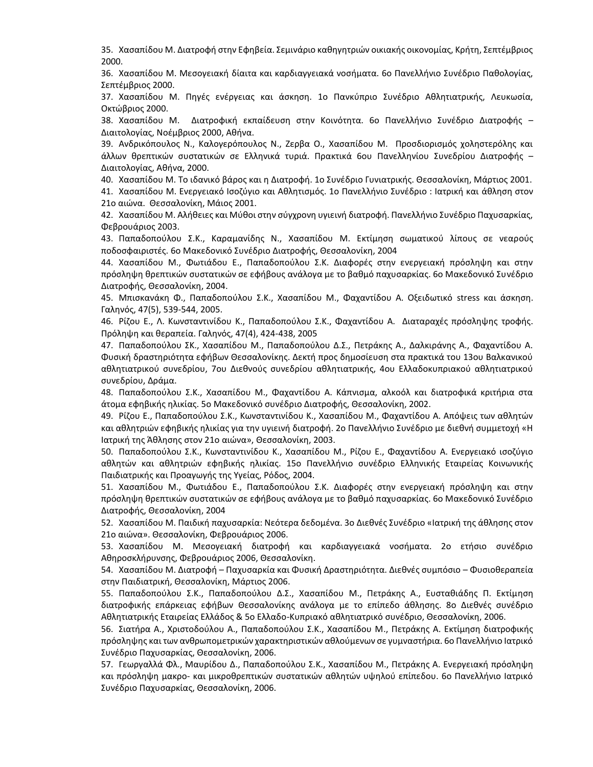35. Χασαπίδου Μ. Διατροφή στην Εφηβεία. Σεμινάριο καθηγητριών οικιακής οικονομίας, Κρήτη, Σεπτέμβριος 2000.

36. Χασαπίδου Μ. Μεσογειακή δίαιτα και καρδιαγγειακά νοσήματα. 6ο Πανελλήνιο Συνέδριο Παθολογίας, Σεπτέμβριος 2000.

37. Χασαπίδου Μ. Πηγές ενέργειας και άσκηση. 1ο Πανκύπριο Συνέδριο Αθλητιατρικής, Λευκωσία, Οκτώβριος 2000.

38. Χασαπίδου Μ. Διατροφική εκπαίδευση στην Κοινότητα. 6ο Πανελλήνιο Συνέδριο Διατροφής – Διαιτολογίας, Νοέμβριος 2000, Αθήνα.

39. Ανδρικόπουλος Ν., Καλογερόπουλος Ν., Ζερβα Ο., Χασαπίδου Μ. Προσδιορισμός χοληστερόλης και άλλων θρεπτικών συστατικών σε Ελληνικά τυριά. Πρακτικά 6ου Πανελληνίου Συνεδρίου Διατροφής – Διαιτολογίας, Αθήνα, 2000.

40. Χασαπίδου Μ. Το ιδανικό βάρος και η Διατροφή. 1ο Συνέδριο Γυνιατρικής. Θεσσαλονίκη, Μάρτιος 2001.

41. Χασαπίδου Μ. Ενεργειακό Ισοζύγιο και Αθλητισμός. 1ο Πανελλήνιο Συνέδριο : Ιατρική και άθληση στον 21ο αιώνα. Θεσσαλονίκη, Μάιος 2001.

42. Xασαπίδου Μ. Αλήθειες και Μύθοι στην σύγχρονη υγιεινή διατροφή. Πανελλήνιο Συνέδριο Παχυσαρκίας, Φεβρουάριος 2003.

43. Παπαδοπούλου Σ.Κ., Καραμανίδης Ν., Χασαπίδου Μ. Εκτίμηση σωματικού λίπους σε νεαρούς ποδοσφαιριστές. 6ο Μακεδονικό Συνέδριο Διατροφής, Θεσσαλονίκη, 2004

44. Χασαπίδου Μ., Φωτιάδου Ε., Παπαδοπούλου Σ.Κ. Διαφορές στην ενεργειακή πρόσληψη και στην πρόσληψη θρεπτικών συστατικών σε εφήβους ανάλογα με το βαθμό παχυσαρκίας. 6ο Μακεδονικό Συνέδριο Διατροφής, Θεσσαλονίκη, 2004.

45. Μπισκανάκη Φ., Παπαδοπούλου Σ.Κ., Χασαπίδου Μ., Φαχαντίδου Α. Οξειδωτικό stress και άσκηση. Γαληνός, 47(5), 539-544, 2005.

46. Ρίζου Ε., Λ. Κωνσταντινίδου Κ., Παπαδοπούλου Σ.Κ., Φαχαντίδου Α. Διαταραχές πρόσληψης τροφής. Πρόληψη και θεραπεία. Γαληνός, 47(4), 424-438, 2005

47. Παπαδοπούλου ΣΚ., Χασαπίδου Μ., Παπαδοπούλου Δ.Σ., Πετράκης Α., Δαλκιράνης Α., Φαχαντίδου Α. Φυσική δραστηριότητα εφήβων Θεσσαλονίκης. Δεκτή προς δημοσίευση στα πρακτικά του 13ου Βαλκανικού αθλητιατρικού συνεδρίου, 7ου Διεθνούς συνεδρίου αθλητιατρικής, 4ου Ελλαδοκυπριακού αθλητιατρικού συνεδρίου, Δράμα.

48. Παπαδοπούλου Σ.Κ., Χασαπίδου Μ., Φαχαντίδου Α. Κάπνισμα, αλκοόλ και διατροφικά κριτήρια στα άτομα εφηβικής ηλικίας. 5ο Μακεδονικό συνέδριο Διατροφής, Θεσσαλονίκη, 2002.

49. Ρίζου Ε., Παπαδοπούλου Σ.Κ., Κωνσταντινίδου Κ., Χασαπίδου Μ., Φαχαντίδου Α. Απόψεις των αθλητών και αθλητριών εφηβικής ηλικίας για την υγιεινή διατροφή. 2ο Πανελλήνιο Συνέδριο με διεθνή συμμετοχή «Η Ιατρική της Άθλησης στον 21ο αιώνα», Θεσσαλονίκη, 2003.

50. Παπαδοπούλου Σ.Κ., Κωνσταντινίδου Κ., Χασαπίδου Μ., Ρίζου Ε., Φαχαντίδου A. Ενεργειακό ισοζύγιο αθλητών και αθλητριών εφηβικής ηλικίας. 15ο Πανελλήνιο συνέδριο Ελληνικής Εταιρείας Κοινωνικής Παιδιατρικής και Προαγωγής της Υγείας, Ρόδος, 2004.

51. Χασαπίδου Μ., Φωτιάδου Ε., Παπαδοπούλου Σ.Κ. Διαφορές στην ενεργειακή πρόσληψη και στην πρόσληψη θρεπτικών συστατικών σε εφήβους ανάλογα με το βαθμό παχυσαρκίας. 6ο Μακεδονικό Συνέδριο Διατροφής, Θεσσαλονίκη, 2004

52. Χασαπίδου Μ. Παιδική παχυσαρκία: Νεότερα δεδομένα. 3ο Διεθνές Συνέδριο «Ιατρική της άθλησης στον 21ο αιώνα». Θεσσαλονίκη, Φεβρουάριος 2006.

53. Χασαπίδου Μ. Μεσογειακή διατροφή και καρδιαγγειακά νοσήματα. 2ο ετήσιο συνέδριο Αθηροσκλήρυνσης, Φεβρουάριος 2006, Θεσσαλονίκη.

54. Χασαπίδου Μ. Διατροφή – Παχυσαρκία και Φυσική Δραστηριότητα. Διεθνές συμπόσιο – Φυσιοθεραπεία στην Παιδιατρική, Θεσσαλονίκη, Μάρτιος 2006.

55. Παπαδοπούλου Σ.Κ., Παπαδοπούλου Δ.Σ., Χασαπίδου Μ., Πετράκης Α., Ευσταθιάδης Π. Εκτίμηση διατροφικής επάρκειας εφήβων Θεσσαλονίκης ανάλογα με το επίπεδο άθλησης. 8ο Διεθνές συνέδριο Αθλητιατρικής Εταιρείας Ελλάδος & 5ο Ελλαδο-Κυπριακό αθλητιατρικό συνέδριο, Θεσσαλονίκη, 2006.

56. Σιατήρα Α., Χριστοδούλου Α., Παπαδοπούλου Σ.Κ., Χασαπίδου Μ., Πετράκης Α. Eκτίμηση διατροφικής πρόσληψης και των ανθρωπομετρικών χαρακτηριστικών αθλούμενων σε γυμναστήρια. 6ο Πανελλήνιο Ιατρικό Συνέδριο Παχυσαρκίας, Θεσσαλονίκη, 2006.

57. Γεωργαλλά Φλ., Μαυρίδου Δ., Παπαδοπούλου Σ.K., Χασαπίδου Μ., Πετράκης Α. Ενεργειακή πρόσληψη και πρόσληψη μακρο- και μικροθρεπτικών συστατικών αθλητών υψηλού επίπεδου. 6ο Πανελλήνιο Ιατρικό Συνέδριο Παχυσαρκίας, Θεσσαλονίκη, 2006.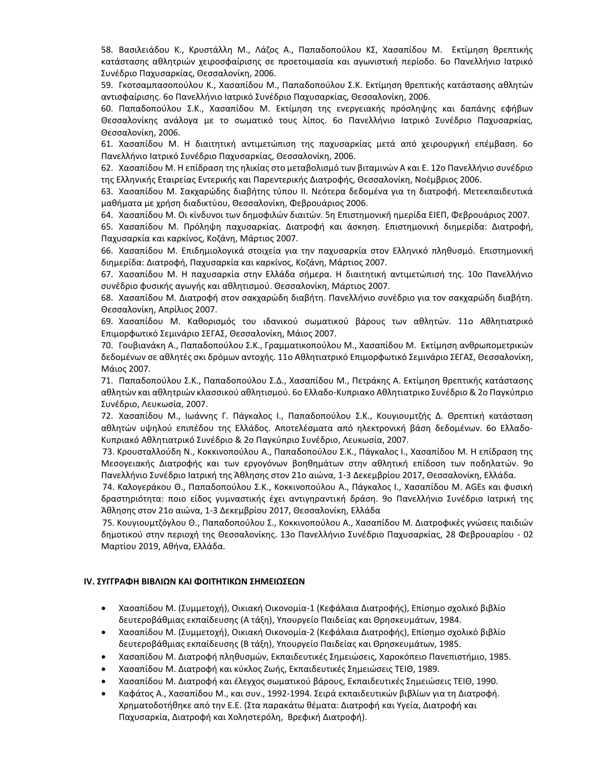58. Βασιλειάδου Κ., Κρυστάλλη Μ., Λάζος Α., Παπαδοπούλου ΚΣ, Χασαπίδου Μ. Εκτίμηση θρεπτικής κατάστασης αθλητριών χειροσφαίρισης σε προετοιμασία και αγωνιστική περίοδο. 6ο Πανελλήνιο Ιατρικό Συνέδριο Παχυσαρκίας, Θεσσαλονίκη, 2006.

59. Γκοτσαμπασοπούλου Κ., Χασαπίδου Μ., Παπαδοπούλου Σ.Κ. Eκτίμηση θρεπτικής κατάστασης αθλητών αντισφαίρισης. 6ο Πανελλήνιο Ιατρικό Συνέδριο Παχυσαρκίας, Θεσσαλονίκη, 2006.

60. Παπαδοπούλου Σ.Κ., Χασαπίδου Μ. Eκτίμηση της ενεργειακής πρόσληψης και δαπάνης εφήβων Θεσσαλονίκης ανάλογα με το σωματικό τους λίπος. 6ο Πανελλήνιο Ιατρικό Συνέδριο Παχυσαρκίας, Θεσσαλονίκη, 2006.

61. Χασαπίδου Μ. Η διαιτητική αντιμετώπιση της παχυσαρκίας μετά από χειρουργική επέμβαση. 6ο Πανελλήνιο Ιατρικό Συνέδριο Παχυσαρκίας, Θεσσαλονίκη, 2006.

62. Χασαπίδου Μ. Η επίδραση της ηλικίας στο μεταβολισμό των βιταμινών Α και Ε. 12ο Πανελλήνιο συνέδριο της Ελληνικής Εταιρείας Εντερικής και Παρεντερικής Διατροφής, Θεσσαλονίκη, Νοέμβριος 2006.

63. Χασαπίδου Μ. Σακχαρώδης διαβήτης τύπου ΙΙ. Νεότερα δεδομένα για τη διατροφή. Μετεκπαιδευτικά μαθήματα με χρήση διαδικτύου, Θεσσαλονίκη, Φεβρουάριος 2006.

64. Χασαπίδου Μ. Οι κίνδυνοι των δημοφιλών διαιτών. 5η Επιστημονική ημερίδα ΕΙΕΠ, Φεβρουάριος 2007.

65. Χασαπίδου Μ. Πρόληψη παχυσαρκίας. Διατροφή και άσκηση. Επιστημονική διημερίδα: Διατροφή, Παχυσαρκία και καρκίνος, Κοζάνη, Μάρτιος 2007.

66. Χασαπίδου Μ. Επιδημιολογικά στοιχεία για την παχυσαρκία στον Ελληνικό πληθυσμό. Επιστημονική διημερίδα: Διατροφή, Παχυσαρκία και καρκίνος, Κοζάνη, Μάρτιος 2007.

67. Χασαπίδου Μ. Η παχυσαρκία στην Ελλάδα σήμερα. Η διαιτητική αντιμετώπισή της. 10ο Πανελλήνιο συνέδριο φυσικής αγωγής και αθλητισμού. Θεσσαλονίκη, Μάρτιος 2007.

68. Χασαπίδου Μ. Διατροφή στον σακχαρώδη διαβήτη. Πανελλήνιο συνέδριο για τον σακχαρώδη διαβήτη. Θεσσαλονίκη, Απρίλιος 2007.

69. Χασαπίδου Μ. Καθορισμός του ιδανικού σωματικού βάρους των αθλητών. 11o Αθλητιατρικό Επιμορφωτικό Σεμινάριο ΣΕΓΑΣ, Θεσσαλονίκη, Μάιος 2007.

70. Γουβιανάκη A., Παπαδοπούλου Σ.K., Γραμματικοπούλου Μ., Χασαπίδου Μ. Εκτίμηση ανθρωπομετρικών δεδομένων σε αθλητές σκι δρόμων αντοχής. 11o Αθλητιατρικό Επιμορφωτικό Σεμινάριο ΣΕΓΑΣ, Θεσσαλονίκη, Μάιος 2007.

71. Παπαδοπούλου Σ.Κ., Παπαδοπούλου Σ.Δ., Χασαπίδου Μ., Πετράκης Α. Εκτίμηση θρεπτικής κατάστασης αθλητών και αθλητριών κλασσικού αθλητισμού. 6ο Ελλαδο‐Κυπριακo Αθλητιατρικo Συνέδριο & 2ο Παγκύπριο Συνέδριο, Λευκωσία, 2007.

72. Χασαπίδου Μ., Ιωάννης Γ. Πάγκαλος Ι., Παπαδοπούλου Σ.Κ., Κουγιουμτζής Δ. Θρεπτική κατάσταση αθλητών υψηλού επιπέδου της Ελλάδος. Αποτελέσματα από ηλεκτρονική βάση δεδομένων. 6ο Ελλαδο‐ Κυπριακό Αθλητιατρικό Συνέδριο & 2ο Παγκύπριο Συνέδριο, Λευκωσία, 2007.

 73. Κρουσταλλούδη Ν., Κοκκινοπούλου Α., Παπαδοπούλου Σ.Κ., Πάγκαλος Ι., Χασαπίδου Μ. Η επίδραση της Μεσογειακής Διατροφής και των εργογόνων βοηθημάτων στην αθλητική επίδοση των ποδηλατών. 9ο Πανελλήνιο Συνέδριο Ιατρική της Άθλησης στον 21ο αιώνα, 1-3 Δεκεμβρίου 2017, Θεσσαλονίκη, Ελλάδα.

 74. Καλογεράκου Θ., Παπαδοπούλου Σ.Κ., Κοκκινοπούλου Α., Πάγκαλος Ι., Χασαπίδου Μ. AGEs και φυσική δραστηριότητα: ποιο είδος γυμναστικής έχει αντιγηραντική δράση. 9ο Πανελλήνιο Συνέδριο Ιατρική της Άθλησης στον 21ο αιώνα, 1-3 Δεκεμβρίου 2017, Θεσσαλονίκη, Ελλάδα

 75. Κουγιουμτζόγλου Θ., Παπαδοπούλου Σ., Κοκκινοπούλου Α., Χασαπίδου Μ. Διατροφικές γνώσεις παιδιών δημοτικού στην περιοχή της Θεσσαλονίκης. 13ο Πανελλήνιο Συνέδριο Παχυσαρκίας, 28 Φεβρουαρίου - 02 Μαρτίου 2019, Αθήνα, Ελλάδα.

### **IV. ΣΥΓΓΡΑΦΗ ΒΙΒΛΙΩΝ ΚΑΙ ΦΟΙΤΗΤΙΚΩΝ ΣΗΜΕΙΩΣΕΩΝ**

- Χασαπίδου M. (Συμμετοχή), Οικιακή Οικονομία-1 (Κεφάλαια Διατροφής), Επίσημο σχολικό βιβλίο δευτεροβάθμιας εκπαίδευσης (Α τάξη), Υπουργείο Παιδείας και Θρησκευμάτων, 1984.
- Χασαπίδου M. (Συμμετοχή), Οικιακή Οικονομία-2 (Κεφάλαια Διατροφής), Επίσημο σχολικό βιβλίο δευτεροβάθμιας εκπαίδευσης (Β τάξη), Υπουργείο Παιδείας και Θρησκευμάτων, 1985.
- Χασαπίδου M. Διατροφή πληθυσμών, Εκπαιδευτικές Σημειώσεις, Χαροκόπειο Πανεπιστήμιο, 1985.
- Χασαπίδου M. Διατροφή και κύκλος Ζωής, Εκπαιδευτικές Σημειώσεις ΤΕΙΘ, 1989.
- Χασαπίδου M. Διατροφή και έλεγχος σωματικού βάρους, Εκπαιδευτικές Σημειώσεις ΤΕΙΘ, 1990.
- Καφάτος A., Χασαπίδου M., και συν., 1992-1994. Σειρά εκπαιδευτικών βιβλίων για τη Διατροφή. Χρηματοδοτήθηκε από την Ε.Ε. (Στα παρακάτω θέματα: Διατροφή και Υγεία, Διατροφή και Παχυσαρκία, Διατροφή και Χοληστερόλη, Βρεφική Διατροφή).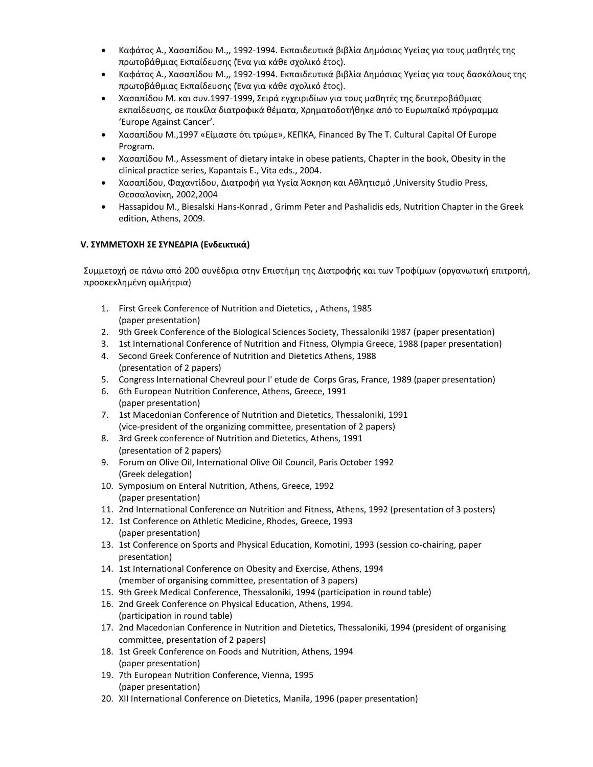- Καφάτος A., Χασαπίδου M.,, 1992-1994. Εκπαιδευτικά βιβλία Δημόσιας Υγείας για τους μαθητές της πρωτοβάθμιας Εκπαίδευσης (Ένα για κάθε σχολικό έτος).
- Καφάτος A., Χασαπίδου M.,, 1992-1994. Εκπαιδευτικά βιβλία Δημόσιας Υγείας για τους δασκάλους της πρωτοβάθμιας Εκπαίδευσης (Ένα για κάθε σχολικό έτος).
- Χασαπίδου Μ. και συν.1997-1999, Σειρά εγχειριδίων για τους μαθητές της δευτεροβάθμιας εκπαίδευσης, σε ποικίλα διατροφικά θέματα, Χρηματοδοτήθηκε από το Ευρωπαϊκό πρόγραμμα 'Europe Against Cancer'.
- Χασαπίδου Μ.,1997 «Eίμαστε ότι τρώμε», KEΠKA, Financed By The T. Cultural Capital Of Europe Program.
- Χασαπίδου Μ., Assessment of dietary intake in obese patients, Chapter in the book, Obesity in the clinical practice series, Kapantais E., Vita eds., 2004.
- Χασαπίδου, Φαχαντίδου, Διατροφή για Υγεία Άσκηση και Αθλητισμό ,University Studio Press, Θεσσαλονίκη, 2002,2004
- Hassapidou M., Biesalski Hans-Konrad , Grimm Peter and Pashalidis eds, Nutrition Chapter in the Greek edition, Athens, 2009.

## **V. ΣΥΜΜΕTΟΧΗ ΣΕ ΣΥΝΕΔΡΙΑ (Ενδεικτικά)**

Συμμετοχή σε πάνω από 200 συνέδρια στην Επιστήμη της Διατροφής και των Τροφίμων (οργανωτική επιτροπή, προσκεκλημένη ομιλήτρια)

- 1. First Greek Conference of Nutrition and Dietetics, , Athens, 1985 (paper presentation)
- 2. 9th Greek Conference of the Biological Sciences Society, Thessaloniki 1987 (paper presentation)
- 3. 1st International Conference of Nutrition and Fitness, Olympia Greece, 1988 (paper presentation)
- 4. Second Greek Conference of Nutrition and Dietetics Athens, 1988 (presentation of 2 papers)
- 5. Congress International Chevreul pour l' etude de Corps Gras, France, 1989 (paper presentation)
- 6. 6th European Nutrition Conference, Athens, Greece, 1991 (paper presentation)
- 7. 1st Macedonian Conference of Nutrition and Dietetics, Thessaloniki, 1991 (vice-president of the organizing committee, presentation of 2 papers)
- 8. 3rd Greek conference of Nutrition and Dietetics, Athens, 1991 (presentation of 2 papers)
- 9. Forum on Olive Oil, International Olive Oil Council, Paris October 1992 (Greek delegation)
- 10. Symposium on Enteral Nutrition, Athens, Greece, 1992 (paper presentation)
- 11. 2nd International Conference on Nutrition and Fitness, Athens, 1992 (presentation of 3 posters)
- 12. 1st Conference on Athletic Medicine, Rhodes, Greece, 1993 (paper presentation)
- 13. 1st Conference on Sports and Physical Education, Komotini, 1993 (session co-chairing, paper presentation)
- 14. 1st International Conference on Obesity and Exercise, Athens, 1994 (member of organising committee, presentation of 3 papers)
- 15. 9th Greek Medical Conference, Thessaloniki, 1994 (participation in round table)
- 16. 2nd Greek Conference on Physical Education, Athens, 1994. (participation in round table)
- 17. 2nd Macedonian Conference in Nutrition and Dietetics, Thessaloniki, 1994 (president of organising committee, presentation of 2 papers)
- 18. 1st Greek Conference on Foods and Nutrition, Athens, 1994 (paper presentation)
- 19. 7th European Nutrition Conference, Vienna, 1995 (paper presentation)
- 20. XII International Conference on Dietetics, Manila, 1996 (paper presentation)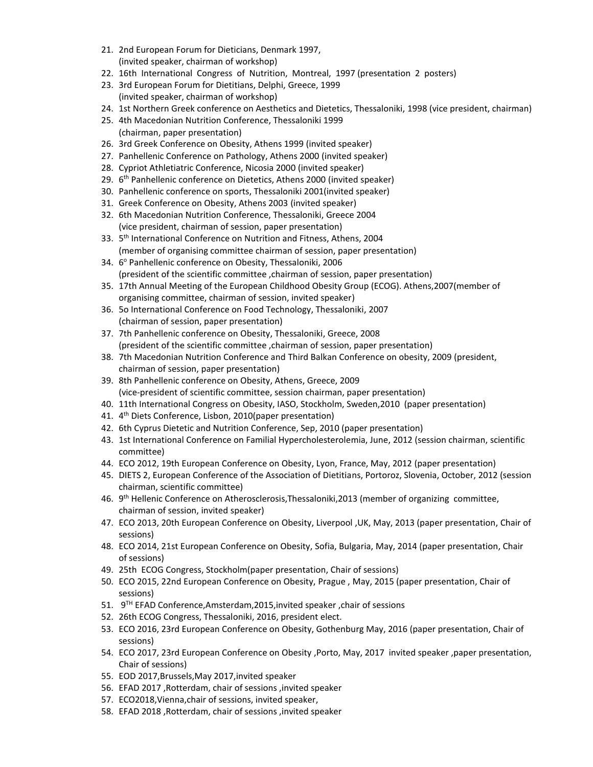- 21. 2nd European Forum for Dieticians, Denmark 1997, (invited speaker, chairman of workshop)
- 22. 16th International Congress of Nutrition, Montreal, 1997 (presentation 2 posters)
- 23. 3rd European Forum for Dietitians, Delphi, Greece, 1999 (invited speaker, chairman of workshop)
- 24. 1st Northern Greek conference on Aesthetics and Dietetics, Thessaloniki, 1998 (vice president, chairman)
- 25. 4th Macedonian Nutrition Conference, Thessaloniki 1999 (chairman, paper presentation)
- 26. 3rd Greek Conference on Obesity, Athens 1999 (invited speaker)
- 27. Panhellenic Conference on Pathology, Athens 2000 (invited speaker)
- 28. Cypriot Athletiatric Conference, Nicosia 2000 (invited speaker)
- 29. 6<sup>th</sup> Panhellenic conference on Dietetics, Athens 2000 (invited speaker)
- 30. Panhellenic conference on sports, Thessaloniki 2001(invited speaker)
- 31. Greek Conference on Obesity, Athens 2003 (invited speaker)
- 32. 6th Macedonian Nutrition Conference, Thessaloniki, Greece 2004 (vice president, chairman of session, paper presentation)
- 33. 5<sup>th</sup> International Conference on Nutrition and Fitness, Athens, 2004 (member of organising committee chairman of session, paper presentation)
- 34. 6 <sup>ο</sup> Panhellenic conference on Obesity, Thessaloniki, 2006 (president of the scientific committee ,chairman of session, paper presentation)
- 35. 17th Annual Meeting of the European Childhood Obesity Group (ECOG). Athens,2007(member of organising committee, chairman of session, invited speaker)
- 36. 5ο International Conference on Food Technology, Thessaloniki, 2007 (chairman of session, paper presentation)
- 37. 7th Panhellenic conference on Obesity, Thessaloniki, Greece, 2008 (president of the scientific committee ,chairman of session, paper presentation)
- 38. 7th Macedonian Nutrition Conference and Third Balkan Conference on obesity, 2009 (president, chairman of session, paper presentation)
- 39. 8th Panhellenic conference on Obesity, Athens, Greece, 2009 (vice-president of scientific committee, session chairman, paper presentation)
- 40. 11th International Congress on Obesity, IASO, Stockholm, Sweden,2010 (paper presentation)
- 41. 4<sup>th</sup> Diets Conference, Lisbon, 2010(paper presentation)
- 42. 6th Cyprus Dietetic and Nutrition Conference, Sep, 2010 (paper presentation)
- 43. 1st International Conference on Familial Hypercholesterolemia, June, 2012 (session chairman, scientific committee)
- 44. ECO 2012, 19th European Conference on Obesity, Lyon, France, May, 2012 (paper presentation)
- 45. DIETS 2, European Conference of the Association of Dietitians, Portoroz, Slovenia, October, 2012 (session chairman, scientific committee)
- 46. 9<sup>th</sup> Hellenic Conference on Atherosclerosis,Thessaloniki,2013 (member of organizing committee, chairman of session, invited speaker)
- 47. ECO 2013, 20th European Conference on Obesity, Liverpool ,UK, May, 2013 (paper presentation, Chair of sessions)
- 48. ECO 2014, 21st European Conference on Obesity, Sofia, Bulgaria, May, 2014 (paper presentation, Chair of sessions)
- 49. 25th ECOG Congress, Stockholm(paper presentation, Chair of sessions)
- 50. ECO 2015, 22nd European Conference on Obesity, Prague , May, 2015 (paper presentation, Chair of sessions)
- 51. 9 TH EFAD Conference,Amsterdam,2015,invited speaker ,chair of sessions
- 52. 26th ECOG Congress, Thessaloniki, 2016, president elect.
- 53. ECO 2016, 23rd European Conference on Obesity, Gothenburg May, 2016 (paper presentation, Chair of sessions)
- 54. ECO 2017, 23rd European Conference on Obesity ,Porto, May, 2017 invited speaker ,paper presentation, Chair of sessions)
- 55. EOD 2017,Brussels,May 2017,invited speaker
- 56. EFAD 2017 ,Rotterdam, chair of sessions ,invited speaker
- 57. ECO2018,Vienna,chair of sessions, invited speaker,
- 58. EFAD 2018 ,Rotterdam, chair of sessions ,invited speaker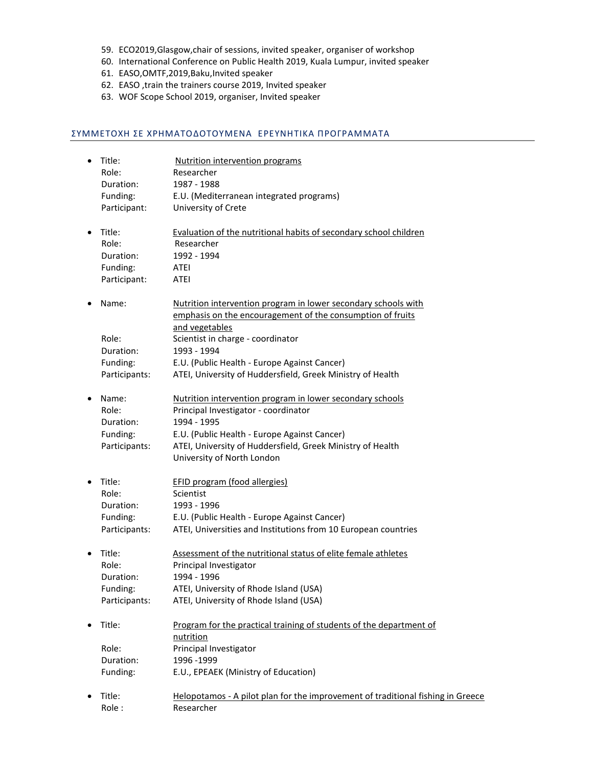- 59. ECO2019,Glasgow,chair of sessions, invited speaker, organiser of workshop
- 60. International Conference on Public Health 2019, Kuala Lumpur, invited speaker
- 61. EASO,OMTF,2019,Baku,Invited speaker
- 62. EASO ,train the trainers course 2019, Invited speaker
- 63. WOF Scope School 2019, organiser, Ιnvited speaker

#### ΣΥΜΜΕΤΟΧΗ ΣΕ ΧΡΗΜΑΤΟΔΟΤΟΥΜΕΝΑ ΕΡΕΥΝΗTIΚΑ ΠΡΟΓΡΑΜΜΑΤΑ

| Title:<br>Role: | Nutrition intervention programs<br>Researcher                                   |
|-----------------|---------------------------------------------------------------------------------|
| Duration:       | 1987 - 1988                                                                     |
| Funding:        | E.U. (Mediterranean integrated programs)                                        |
| Participant:    | University of Crete                                                             |
| Title:          | Evaluation of the nutritional habits of secondary school children               |
| Role:           | Researcher                                                                      |
| Duration:       | 1992 - 1994                                                                     |
| Funding:        | ATEI                                                                            |
| Participant:    | ATEI                                                                            |
| Name:           | Nutrition intervention program in lower secondary schools with                  |
|                 | emphasis on the encouragement of the consumption of fruits                      |
|                 | and vegetables                                                                  |
| Role:           | Scientist in charge - coordinator                                               |
| Duration:       | 1993 - 1994                                                                     |
| Funding:        | E.U. (Public Health - Europe Against Cancer)                                    |
| Participants:   | ATEI, University of Huddersfield, Greek Ministry of Health                      |
| Name:           | Nutrition intervention program in lower secondary schools                       |
| Role:           | Principal Investigator - coordinator                                            |
| Duration:       | 1994 - 1995                                                                     |
| Funding:        | E.U. (Public Health - Europe Against Cancer)                                    |
| Participants:   | ATEI, University of Huddersfield, Greek Ministry of Health                      |
|                 | University of North London                                                      |
| Title:          | <b>EFID program (food allergies)</b>                                            |
| Role:           | Scientist                                                                       |
| Duration:       | 1993 - 1996                                                                     |
| Funding:        | E.U. (Public Health - Europe Against Cancer)                                    |
| Participants:   | ATEI, Universities and Institutions from 10 European countries                  |
| Title:          | Assessment of the nutritional status of elite female athletes                   |
| Role:           | Principal Investigator                                                          |
| Duration:       | 1994 - 1996                                                                     |
| Funding:        | ATEI, University of Rhode Island (USA)                                          |
| Participants:   | ATEI, University of Rhode Island (USA)                                          |
| Title:          | Program for the practical training of students of the department of             |
|                 | nutrition                                                                       |
| Role:           | Principal Investigator                                                          |
| Duration:       | 1996 - 1999                                                                     |
| Funding:        | E.U., EPEAEK (Ministry of Education)                                            |
| Title:          | Helopotamos - A pilot plan for the improvement of traditional fishing in Greece |
| Role:           | Researcher                                                                      |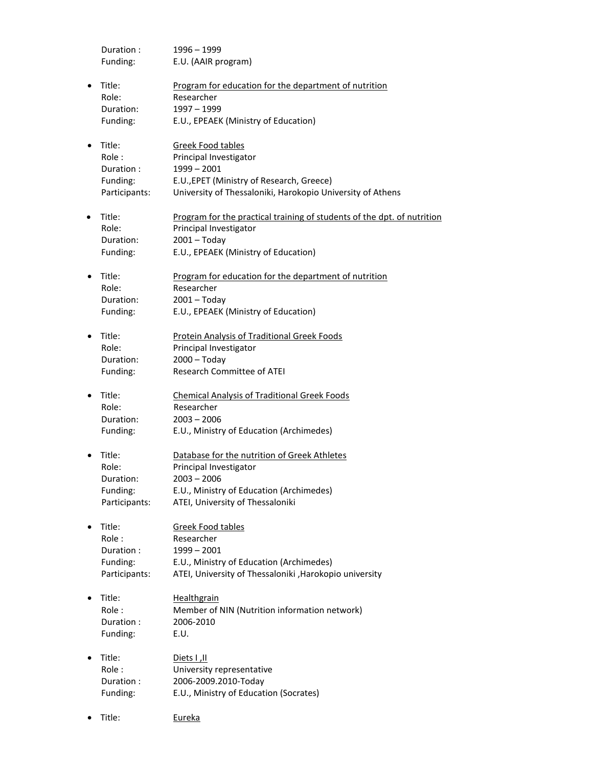Duration : 1996 – 1999 Funding: E.U. (AAIR program)

- Title: Program for education for the department of nutrition Role: Researcher Duration: 1997 – 1999 Funding: E.U., EPEAEK (Ministry of Education)
- Title: Greek Food tables Role : Principal Investigator Duration : 1999 – 2001 Funding: E.U.,EPET (Ministry of Research, Greece) Participants: University of Thessaloniki, Harokopio University of Athens
- Title: Program for the practical training of students of the dpt. of nutrition Role: Principal Investigator Duration: 2001 – Today Funding: E.U., EPEAEK (Ministry of Education)
- Title: Program for education for the department of nutrition Role: Researcher Duration: 2001 – Today Funding: E.U., EPEAEK (Ministry of Education)
- Title: Protein Analysis of Traditional Greek Foods Role: Principal Investigator Duration: 2000 – Today Funding: Research Committee of ATEI
- Title: Chemical Analysis of Traditional Greek Foods Role: Researcher Duration: 2003 – 2006 Funding: E.U., Ministry of Education (Archimedes)
- Title: Database for the nutrition of Greek Athletes Role: Principal Investigator Duration: 2003 – 2006 Funding: E.U., Ministry of Education (Archimedes) Participants: ATEI, University of Thessaloniki
- Title: Greek Food tables Role : Researcher Duration : 1999 – 2001 Funding: E.U., Ministry of Education (Archimedes) Participants: ATEI, University of Thessaloniki ,Harokopio university
- Title: Healthgrain Role : Member of NIN (Nutrition information network) Duration : 2006-2010 Funding: E.U.
- Title: Diets I ,II Role : University representative Duration : 2006-2009.2010-Today Funding: E.U., Ministry of Education (Socrates)
- Title: Eureka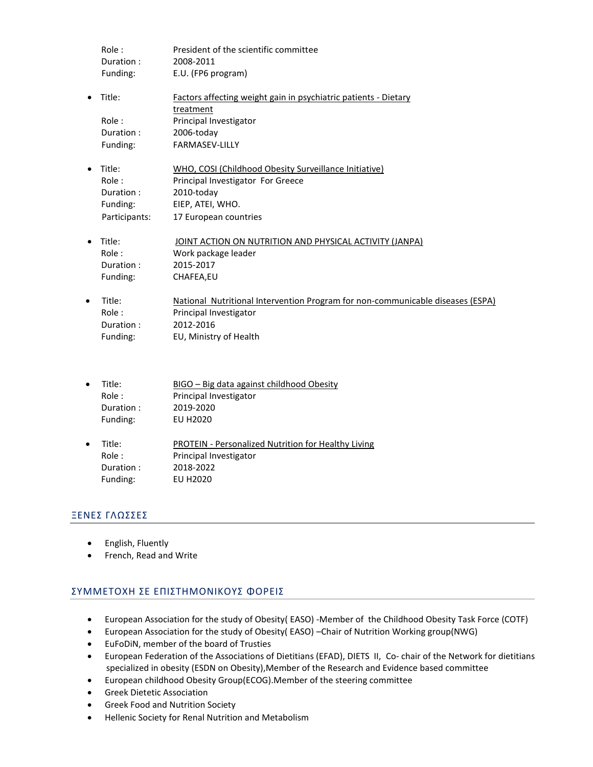|   | Role:         | President of the scientific committee                                          |
|---|---------------|--------------------------------------------------------------------------------|
|   | Duration:     | 2008-2011                                                                      |
|   | Funding:      | E.U. (FP6 program)                                                             |
|   | Title:        | Factors affecting weight gain in psychiatric patients - Dietary                |
|   |               | treatment                                                                      |
|   | Role:         | Principal Investigator                                                         |
|   | Duration:     | 2006-today                                                                     |
|   | Funding:      | <b>FARMASEV-LILLY</b>                                                          |
|   | Title:        | WHO, COSI (Childhood Obesity Surveillance Initiative)                          |
|   | Role:         | Principal Investigator For Greece                                              |
|   | Duration:     | 2010-today                                                                     |
|   | Funding:      | EIEP, ATEI, WHO.                                                               |
|   | Participants: | 17 European countries                                                          |
|   | Title:        | JOINT ACTION ON NUTRITION AND PHYSICAL ACTIVITY (JANPA)                        |
|   | Role:         | Work package leader                                                            |
|   | Duration:     | 2015-2017                                                                      |
|   | Funding:      | CHAFEA,EU                                                                      |
| ٠ | Title:        | National Nutritional Intervention Program for non-communicable diseases (ESPA) |
|   | Role:         | Principal Investigator                                                         |
|   | Duration:     | 2012-2016                                                                      |
|   | Funding:      | EU, Ministry of Health                                                         |
|   |               |                                                                                |

- Title: BIGO Big data against childhood Obesity Role : Principal Investigator Duration : 2019-2020 Funding: EU H2020
- Title: PROTEIN Personalized Nutrition for Healthy Living Role : Principal Investigator **Duration : 2018-2022**<br> **EU H2020** Funding:

## ΞΕΝΕΣ ΓΛΩΣΣΕΣ

- English, Fluently
- French, Read and Write

# ΣΥΜΜΕΤΟΧΗ ΣΕ ΕΠΙΣΤΗΜΟΝΙΚΟΥΣ ΦΟΡΕΙΣ

- European Association for the study of Obesity( EASO) -Member of the Childhood Obesity Task Force (COTF)
- European Association for the study of Obesity( EASO) –Chair of Nutrition Working group(NWG)
- EuFoDiN, member of the board of Trusties
- European Federation of the Associations of Dietitians (EFAD), DIETS II, Co- chair of the Network for dietitians specialized in obesity (ESDN on Obesity),Member of the Research and Evidence based committee
- European childhood Obesity Group(ECOG).Member of the steering committee
- Greek Dietetic Association
- Greek Food and Nutrition Society
- Hellenic Society for Renal Nutrition and Metabolism